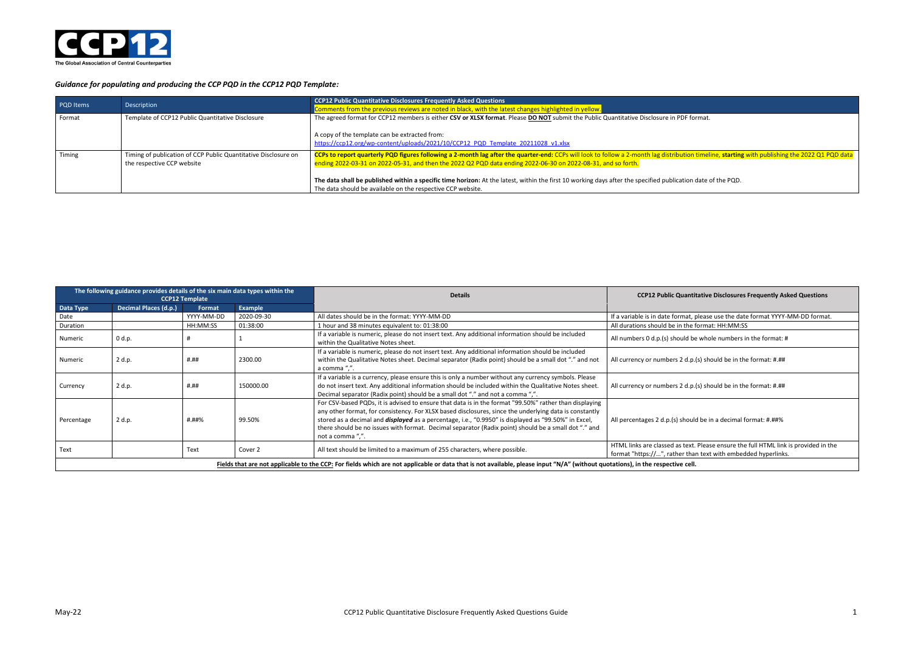## ion timeline, starting with publishing the 2022 Q1 PQD data

on date of the PQD.



### *Guidance for populating and producing the CCP PQD in the CCP12 PQD Template:*

| PQD Items | Description                                                                                  | <b>CCP12 Public Quantitative Disclosures Frequently Asked Questions</b><br>Comments from the previous reviews are noted in black, with the latest changes highlighted in yellow.                                                                                                                                                                                                                                                                                                  |
|-----------|----------------------------------------------------------------------------------------------|-----------------------------------------------------------------------------------------------------------------------------------------------------------------------------------------------------------------------------------------------------------------------------------------------------------------------------------------------------------------------------------------------------------------------------------------------------------------------------------|
| Format    | Template of CCP12 Public Quantitative Disclosure                                             | The agreed format for CCP12 members is either CSV or XLSX format. Please DO NOT submit the Public Quantitative Disclosure in PDF format.<br>A copy of the template can be extracted from:<br>https://ccp12.org/wp-content/uploads/2021/10/CCP12 PQD Template 20211028 v1.xlsx                                                                                                                                                                                                     |
| Timing    | Timing of publication of CCP Public Quantitative Disclosure on<br>the respective CCP website | CCPs to report quarterly PQD figures following a 2-month lag after the quarter-end: CCPs will look to follow a 2-month lag distribution timel<br>ending 2022-03-31 on 2022-05-31, and then the 2022 Q2 PQD data ending 2022-06-30 on 2022-08-31, and so forth.<br>The data shall be published within a specific time horizon: At the latest, within the first 10 working days after the specified publication date<br>The data should be available on the respective CCP website. |

### **CCP12 Template Details CCP12 Public Quantitative Disclosures Frequently Asked Questions**

t, please use the date format YYYY-MM-DD format.<br>he format: HH:MM:SS

be whole numbers in the format:  $\#$ 

.p.(s) should be in the format:  $\text{\#}.\text{\#} \text{\#}$ 

.p.(s) should be in the format: #.##

ould be in a decimal format: #.##%

xt. Please ensure the full HTML link is provided in the han text with embedded hyperlinks.

|            | The following guidance provides details of the six main data types within the                                                                                                  | CCP <sub>12</sub> Template |            | <b>Details</b>                                                                                                                                                                                                                                                                                                                                                                                                                                              | <b>CCP12 Public Quantitative Disclosures</b>                                                        |  |  |  |  |
|------------|--------------------------------------------------------------------------------------------------------------------------------------------------------------------------------|----------------------------|------------|-------------------------------------------------------------------------------------------------------------------------------------------------------------------------------------------------------------------------------------------------------------------------------------------------------------------------------------------------------------------------------------------------------------------------------------------------------------|-----------------------------------------------------------------------------------------------------|--|--|--|--|
| Data Type  | Decimal Places (d.p.)                                                                                                                                                          | Format                     | Example    |                                                                                                                                                                                                                                                                                                                                                                                                                                                             |                                                                                                     |  |  |  |  |
| Date       |                                                                                                                                                                                | YYYY-MM-DD                 | 2020-09-30 | All dates should be in the format: YYYY-MM-DD                                                                                                                                                                                                                                                                                                                                                                                                               | If a variable is in date format, please use the date                                                |  |  |  |  |
| Duration   |                                                                                                                                                                                | HH:MM:SS                   | 01:38:00   | 1 hour and 38 minutes equivalent to: 01:38:00                                                                                                                                                                                                                                                                                                                                                                                                               | All durations should be in the format: HH:MM:SS                                                     |  |  |  |  |
| Numeric    | 0 d.p.                                                                                                                                                                         |                            |            | If a variable is numeric, please do not insert text. Any additional information should be included<br>within the Qualitative Notes sheet.                                                                                                                                                                                                                                                                                                                   | All numbers 0 d.p.(s) should be whole numbers in                                                    |  |  |  |  |
| Numeric    | 2 d.p.                                                                                                                                                                         | #.##                       | 2300.00    | If a variable is numeric, please do not insert text. Any additional information should be included<br>within the Qualitative Notes sheet. Decimal separator (Radix point) should be a small dot "." and not<br>a comma ",".                                                                                                                                                                                                                                 | All currency or numbers 2 d.p.(s) should be in the                                                  |  |  |  |  |
| Currency   | 2 d.p.                                                                                                                                                                         | #.##                       | 150000.00  | If a variable is a currency, please ensure this is only a number without any currency symbols. Please<br>do not insert text. Any additional information should be included within the Qualitative Notes sheet.<br>Decimal separator (Radix point) should be a small dot "." and not a comma ",".                                                                                                                                                            | All currency or numbers 2 d.p.(s) should be in the                                                  |  |  |  |  |
| Percentage | 2 d.p.                                                                                                                                                                         | #.##%                      | 99.50%     | For CSV-based PQDs, it is advised to ensure that data is in the format "99.50%" rather than displaying<br>any other format, for consistency. For XLSX based disclosures, since the underlying data is constantly<br>stored as a decimal and <i>displayed</i> as a percentage, i.e., "0.9950" is displayed as "99.50%" in Excel,<br>there should be no issues with format. Decimal separator (Radix point) should be a small dot "." and<br>not a comma ",". | All percentages 2 d.p.(s) should be in a decimal for                                                |  |  |  |  |
| Text       |                                                                                                                                                                                | Text                       | Cover 2    | All text should be limited to a maximum of 255 characters, where possible.                                                                                                                                                                                                                                                                                                                                                                                  | HTML links are classed as text. Please ensure the<br>format "https://", rather than text with embed |  |  |  |  |
|            | Fields that are not applicable to the CCP: For fields which are not applicable or data that is not available, please input "N/A" (without quotations), in the respective cell. |                            |            |                                                                                                                                                                                                                                                                                                                                                                                                                                                             |                                                                                                     |  |  |  |  |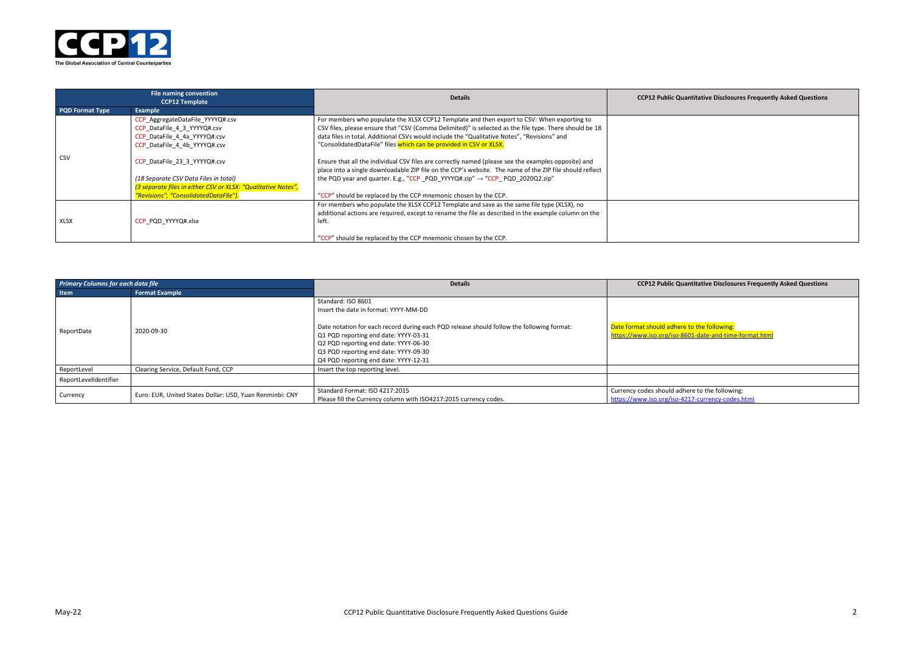| <b>Ititative Disclosures Frequently Asked Questions</b> |  |  |  |  |  |
|---------------------------------------------------------|--|--|--|--|--|
|                                                         |  |  |  |  |  |
|                                                         |  |  |  |  |  |
|                                                         |  |  |  |  |  |
|                                                         |  |  |  |  |  |
|                                                         |  |  |  |  |  |
|                                                         |  |  |  |  |  |

# **Primary Columns Frequently Asked Questions CO2012**

to the following: 01-date-and-time-format.html

Pre to the following: 17-currency-codes.html



| File naming convention<br><b>CCP12 Template</b> |                                                               | <b>Details</b>                                                                                                                                                                                                 | <b>CCP12 Public Quantitative Disclosures Frequently Asked Questions</b> |
|-------------------------------------------------|---------------------------------------------------------------|----------------------------------------------------------------------------------------------------------------------------------------------------------------------------------------------------------------|-------------------------------------------------------------------------|
| <b>PQD Format Type</b>                          | Example                                                       |                                                                                                                                                                                                                |                                                                         |
|                                                 | CCP_AggregateDataFile_YYYYQ#.csv                              | For members who populate the XLSX CCP12 Template and then export to CSV: When exporting to                                                                                                                     |                                                                         |
|                                                 | CCP DataFile 4 3 YYYYQ#.csv                                   | CSV files, please ensure that "CSV (Comma Delimited)" is selected as the file type. There should be 18                                                                                                         |                                                                         |
|                                                 | CCP DataFile 4 4a YYYYQ#.csv                                  | data files in total. Additional CSVs would include the "Qualitative Notes", "Revisions" and                                                                                                                    |                                                                         |
|                                                 | CCP DataFile 4 4b YYYYQ#.csv                                  | "ConsolidatedDataFile" files which can be provided in CSV or XLSX.                                                                                                                                             |                                                                         |
| <b>CSV</b>                                      | CCP_DataFile_23_3_YYYYQ#.csv                                  | Ensure that all the individual CSV files are correctly named (please see the examples opposite) and<br>place into a single downloadable ZIP file on the CCP's website. The name of the ZIP file should reflect |                                                                         |
|                                                 | (18 Separate CSV Data Files in total)                         | the PQD year and quarter. E.g., "CCP PQD YYYYQ#.zip" $\rightarrow$ "CCP PQD 2020Q2.zip"                                                                                                                        |                                                                         |
|                                                 | (3 separate files in either CSV or XLSX: "Qualitative Notes", |                                                                                                                                                                                                                |                                                                         |
|                                                 | "Revisions", "ConsolidatedDataFlle").                         | "CCP" should be replaced by the CCP mnemonic chosen by the CCP.                                                                                                                                                |                                                                         |
|                                                 |                                                               | For members who populate the XLSX CCP12 Template and save as the same file type (XLSX), no                                                                                                                     |                                                                         |
|                                                 |                                                               | additional actions are required, except to rename the file as described in the example column on the                                                                                                           |                                                                         |
| <b>XLSX</b>                                     | CCP PQD YYYYQ#.xlsx                                           | left.                                                                                                                                                                                                          |                                                                         |
|                                                 |                                                               | "CCP" should be replaced by the CCP mnemonic chosen by the CCP.                                                                                                                                                |                                                                         |

| <b>Primary Columns for each data file</b> |                                                          | <b>Details</b>                                                                                                                                                                                                                                                                                                               | <b>CCP12 Public Quan</b>                                   |
|-------------------------------------------|----------------------------------------------------------|------------------------------------------------------------------------------------------------------------------------------------------------------------------------------------------------------------------------------------------------------------------------------------------------------------------------------|------------------------------------------------------------|
| Item                                      | <b>Format Example</b>                                    |                                                                                                                                                                                                                                                                                                                              |                                                            |
| ReportDate                                | 2020-09-30                                               | Standard: ISO 8601<br>Insert the date in format: YYYY-MM-DD<br>Date notation for each record during each PQD release should follow the following format:<br>Q1 PQD reporting end date: YYYY-03-31<br>Q2 PQD reporting end date: YYYY-06-30<br>Q3 PQD reporting end date: YYYY-09-30<br>Q4 PQD reporting end date: YYYY-12-31 | Date format should adhere t<br>https://www.iso.org/iso-860 |
| ReportLevel                               | Clearing Service, Default Fund, CCP                      | Insert the top reporting level.                                                                                                                                                                                                                                                                                              |                                                            |
| ReportLevelIdentifier                     |                                                          |                                                                                                                                                                                                                                                                                                                              |                                                            |
| Currency                                  | Euro: EUR, United States Dollar: USD, Yuan Renminbi: CNY | Standard Format: ISO 4217:2015<br>Please fill the Currency column with ISO4217:2015 currency codes.                                                                                                                                                                                                                          | Currency codes should adhe<br>https://www.iso.org/iso-421  |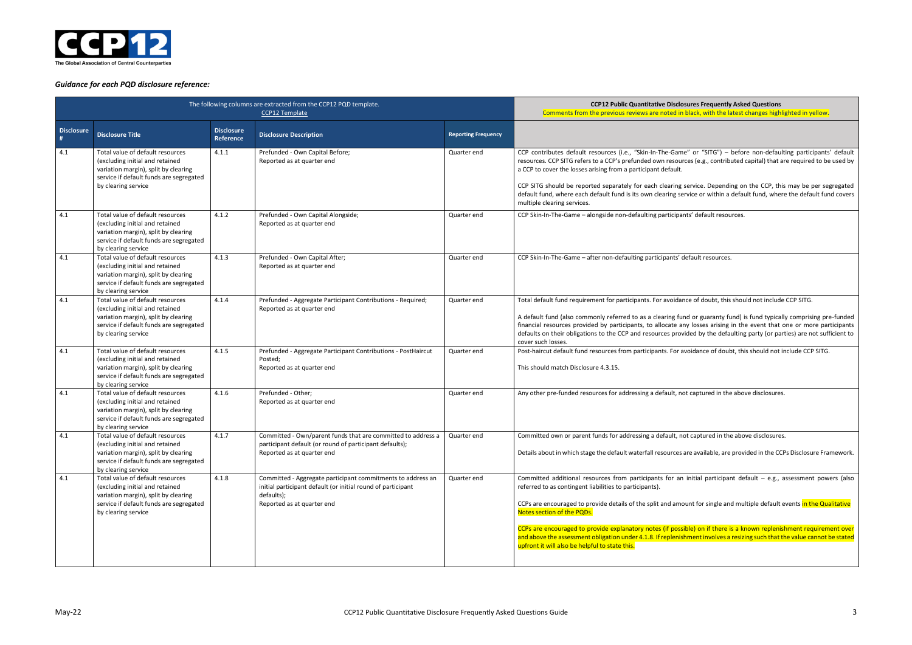**Sures Frequently Asked Questions** black, with the latest changes highlighted in yellow.

e" or "SITG") – before non-defaulting participants' default ces (e.g., contributed capital) that are required to be used by

Service. Depending on the CCP, this may be per segregated rvice or within a default fund, where the default fund covers

nts' default resources.

efault resources.

ce of doubt, this should not include CCP SITG.

nd or guaranty fund) is fund typically comprising pre-funded iy losses arising in the event that one or more participants ided by the defaulting party (or parties) are not sufficient to

voidance of doubt, this should not include CCP SITG.

t captured in the above disclosures.

ot captured in the above disclosures.

are available, are provided in the CCPs Disclosure Framework.

initial participant default – e.g., assessment powers (also

unt for single and multiple default events <mark>in the Qualitative</mark>

ble) on if there is a known replenishment requirement over ament involves a resizing such that the value cannot be stated



## *Guidance for each PQD disclosure reference:*

|                   | The following columns are extracted from the CCP12 PQD template.                                                                                                              | <b>CCP12 Public Quantitative Disclos</b><br>Comments from the previous reviews are noted in I |                                                                                                                                                                         |                            |                                                                                                                                                                                                                                                                                                                                                                                                    |
|-------------------|-------------------------------------------------------------------------------------------------------------------------------------------------------------------------------|-----------------------------------------------------------------------------------------------|-------------------------------------------------------------------------------------------------------------------------------------------------------------------------|----------------------------|----------------------------------------------------------------------------------------------------------------------------------------------------------------------------------------------------------------------------------------------------------------------------------------------------------------------------------------------------------------------------------------------------|
| <b>Disclosure</b> | <b>Disclosure Title</b>                                                                                                                                                       | <b>Disclosure</b><br>Reference                                                                | <b>Disclosure Description</b>                                                                                                                                           | <b>Reporting Frequency</b> |                                                                                                                                                                                                                                                                                                                                                                                                    |
| 4.1               | Total value of default resources<br>(excluding initial and retained<br>variation margin), split by clearing<br>service if default funds are segregated<br>by clearing service | 4.1.1                                                                                         | Prefunded - Own Capital Before;<br>Reported as at quarter end                                                                                                           | Quarter end                | CCP contributes default resources (i.e., "Skin-In-The-Game<br>resources. CCP SITG refers to a CCP's prefunded own resourc<br>a CCP to cover the losses arising from a participant default.<br>CCP SITG should be reported separately for each clearing s<br>default fund, where each default fund is its own clearing ser<br>multiple clearing services.                                           |
| 4.1               | Total value of default resources<br>(excluding initial and retained<br>variation margin), split by clearing<br>service if default funds are segregated<br>by clearing service | 4.1.2                                                                                         | Prefunded - Own Capital Alongside;<br>Reported as at quarter end                                                                                                        | Quarter end                | CCP Skin-In-The-Game - alongside non-defaulting participan                                                                                                                                                                                                                                                                                                                                         |
| 4.1               | Total value of default resources<br>(excluding initial and retained<br>variation margin), split by clearing<br>service if default funds are segregated<br>by clearing service | 4.1.3                                                                                         | Prefunded - Own Capital After;<br>Reported as at quarter end                                                                                                            | Quarter end                | CCP Skin-In-The-Game - after non-defaulting participants' de                                                                                                                                                                                                                                                                                                                                       |
| 4.1               | Total value of default resources<br>(excluding initial and retained<br>variation margin), split by clearing<br>service if default funds are segregated<br>by clearing service | 4.1.4                                                                                         | Prefunded - Aggregate Participant Contributions - Required;<br>Reported as at quarter end                                                                               | Quarter end                | Total default fund requirement for participants. For avoidan<br>A default fund (also commonly referred to as a clearing fun<br>financial resources provided by participants, to allocate an<br>defaults on their obligations to the CCP and resources provi-<br>cover such losses.                                                                                                                 |
| 4.1               | Total value of default resources<br>(excluding initial and retained<br>variation margin), split by clearing<br>service if default funds are segregated<br>by clearing service | 4.1.5                                                                                         | Prefunded - Aggregate Participant Contributions - PostHaircut<br>Posted;<br>Reported as at quarter end                                                                  | Quarter end                | Post-haircut default fund resources from participants. For av<br>This should match Disclosure 4.3.15.                                                                                                                                                                                                                                                                                              |
| 4.1               | Total value of default resources<br>(excluding initial and retained<br>variation margin), split by clearing<br>service if default funds are segregated<br>by clearing service | 4.1.6                                                                                         | Prefunded - Other;<br>Reported as at quarter end                                                                                                                        | Quarter end                | Any other pre-funded resources for addressing a default, not                                                                                                                                                                                                                                                                                                                                       |
| 4.1               | Total value of default resources<br>(excluding initial and retained<br>variation margin), split by clearing<br>service if default funds are segregated<br>by clearing service | 4.1.7                                                                                         | Committed - Own/parent funds that are committed to address a<br>participant default (or round of participant defaults);<br>Reported as at quarter end                   | Quarter end                | Committed own or parent funds for addressing a default, no<br>Details about in which stage the default waterfall resources a                                                                                                                                                                                                                                                                       |
| 4.1               | Total value of default resources<br>(excluding initial and retained<br>variation margin), split by clearing<br>service if default funds are segregated<br>by clearing service | 4.1.8                                                                                         | Committed - Aggregate participant commitments to address an<br>initial participant default (or initial round of participant<br>defaults);<br>Reported as at quarter end | Quarter end                | Committed additional resources from participants for an<br>referred to as contingent liabilities to participants).<br>CCPs are encouraged to provide details of the split and amou<br>Notes section of the PQDs.<br>CCPs are encouraged to provide explanatory notes (if possil<br>and above the assessment obligation under 4.1.8. If replenish<br>upfront it will also be helpful to state this. |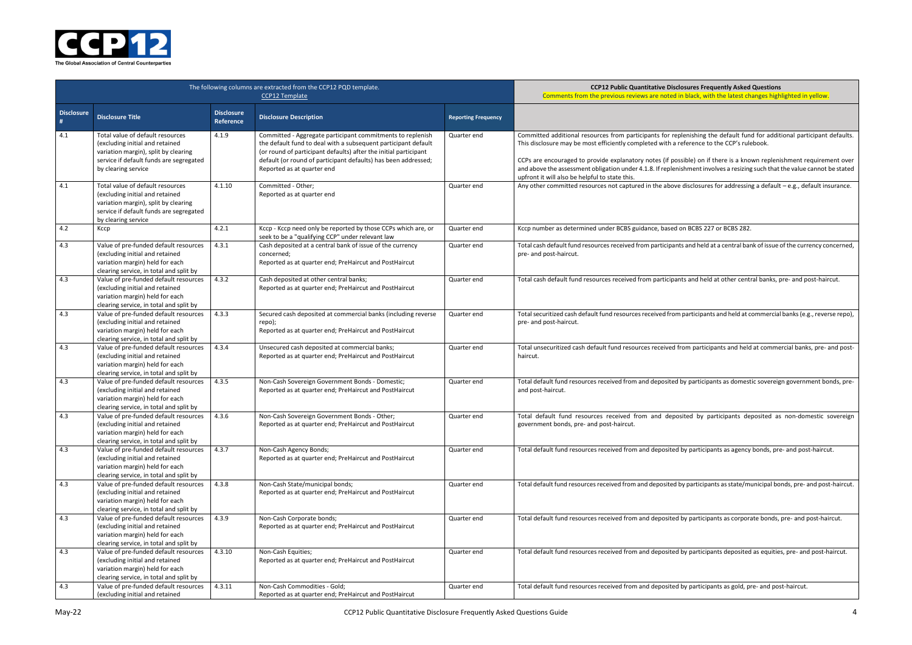**COPER BIG Products** Bures Frequently Asked Questions black, with the latest changes highlighted in yellow.

enishing the default fund for additional participant defaults. erence to the CCP's rulebook.

ble) on if there is a known replenishment requirement over iment involves a resizing such that the value cannot be stated

 $i$ isclosures for addressing a default – e.g., default insurance.

BCBS 227 or BCBS 282.

and held at a central bank of issue of the currency concerned,

and held at other central banks, pre- and post-haircut.

participants and held at commercial banks (e.g., reverse repo),

m participants and held at commercial banks, pre- and post-

participants as domestic sovereign government bonds, pre-

ed by participants deposited as non-domestic sovereign

y participants as agency bonds, pre- and post-haircut.

participants as state/municipal bonds, pre- and post-haircut.

 $\gamma$  participants as corporate bonds, pre- and post-haircut.

 $\gamma$  participants deposited as equities, pre- and post-haircut.

 $\gamma$  participants as gold, pre- and post-haircut.



|                        | The following columns are extracted from the CCP12 PQD template.                                                                                                              | <b>CCP12 Public Quantitative Disclos</b><br>Comments from the previous reviews are noted in I |                                                                                                                                                                                                                                                                                                  |                            |                                                                                                                                                                                                                                                                                                              |
|------------------------|-------------------------------------------------------------------------------------------------------------------------------------------------------------------------------|-----------------------------------------------------------------------------------------------|--------------------------------------------------------------------------------------------------------------------------------------------------------------------------------------------------------------------------------------------------------------------------------------------------|----------------------------|--------------------------------------------------------------------------------------------------------------------------------------------------------------------------------------------------------------------------------------------------------------------------------------------------------------|
| <b>Disclosure</b><br># | <b>Disclosure Title</b>                                                                                                                                                       | <b>Disclosure</b><br>Reference                                                                | <b>Disclosure Description</b>                                                                                                                                                                                                                                                                    | <b>Reporting Frequency</b> |                                                                                                                                                                                                                                                                                                              |
| 4.1                    | Total value of default resources<br>(excluding initial and retained<br>variation margin), split by clearing<br>service if default funds are segregated<br>by clearing service | 4.1.9                                                                                         | Committed - Aggregate participant commitments to replenish<br>the default fund to deal with a subsequent participant default<br>(or round of participant defaults) after the initial participant<br>default (or round of participant defaults) has been addressed;<br>Reported as at quarter end | Quarter end                | Committed additional resources from participants for reple<br>This disclosure may be most efficiently completed with a ref<br>CCPs are encouraged to provide explanatory notes (if possil<br>and above the assessment obligation under 4.1.8. If replenish<br>upfront it will also be helpful to state this. |
| 4.1                    | Total value of default resources<br>(excluding initial and retained<br>variation margin), split by clearing<br>service if default funds are segregated<br>by clearing service | 4.1.10                                                                                        | Committed - Other;<br>Reported as at quarter end                                                                                                                                                                                                                                                 | Quarter end                | Any other committed resources not captured in the above di                                                                                                                                                                                                                                                   |
| 4.2                    | Ксср                                                                                                                                                                          | 4.2.1                                                                                         | Kccp - Kccp need only be reported by those CCPs which are, or<br>seek to be a "qualifying CCP" under relevant law                                                                                                                                                                                | Quarter end                | Kccp number as determined under BCBS guidance, based on                                                                                                                                                                                                                                                      |
| 4.3                    | Value of pre-funded default resources<br>(excluding initial and retained<br>variation margin) held for each<br>clearing service, in total and split by                        | 4.3.1                                                                                         | Cash deposited at a central bank of issue of the currency<br>concerned;<br>Reported as at quarter end; PreHaircut and PostHaircut                                                                                                                                                                | Quarter end                | Total cash default fund resources received from participants a<br>pre- and post-haircut.                                                                                                                                                                                                                     |
| 4.3                    | Value of pre-funded default resources<br>(excluding initial and retained<br>variation margin) held for each<br>clearing service, in total and split by                        | 4.3.2                                                                                         | Cash deposited at other central banks;<br>Reported as at quarter end; PreHaircut and PostHaircut                                                                                                                                                                                                 | Quarter end                | Total cash default fund resources received from participants                                                                                                                                                                                                                                                 |
| 4.3                    | Value of pre-funded default resources<br>(excluding initial and retained<br>variation margin) held for each<br>clearing service, in total and split by                        | 4.3.3                                                                                         | Secured cash deposited at commercial banks (including reverse<br>repo);<br>Reported as at quarter end; PreHaircut and PostHaircut                                                                                                                                                                | Quarter end                | Total securitized cash default fund resources received from pa<br>pre- and post-haircut.                                                                                                                                                                                                                     |
| 4.3                    | Value of pre-funded default resources<br>(excluding initial and retained<br>variation margin) held for each<br>clearing service, in total and split by                        | 4.3.4                                                                                         | Unsecured cash deposited at commercial banks;<br>Reported as at quarter end; PreHaircut and PostHaircut                                                                                                                                                                                          | Quarter end                | Total unsecuritized cash default fund resources received fror<br>haircut.                                                                                                                                                                                                                                    |
| 4.3                    | Value of pre-funded default resources<br>(excluding initial and retained<br>variation margin) held for each<br>clearing service, in total and split by                        | 4.3.5                                                                                         | Non-Cash Sovereign Government Bonds - Domestic;<br>Reported as at quarter end; PreHaircut and PostHaircut                                                                                                                                                                                        | Quarter end                | Total default fund resources received from and deposited by<br>and post-haircut.                                                                                                                                                                                                                             |
| 4.3                    | Value of pre-funded default resources<br>(excluding initial and retained<br>variation margin) held for each<br>clearing service, in total and split by                        | 4.3.6                                                                                         | Non-Cash Sovereign Government Bonds - Other;<br>Reported as at quarter end; PreHaircut and PostHaircut                                                                                                                                                                                           | Quarter end                | Total default fund resources received from and deposit<br>government bonds, pre- and post-haircut.                                                                                                                                                                                                           |
| 4.3                    | Value of pre-funded default resources<br>(excluding initial and retained<br>variation margin) held for each<br>clearing service, in total and split by                        | 4.3.7                                                                                         | Non-Cash Agency Bonds;<br>Reported as at quarter end; PreHaircut and PostHaircut                                                                                                                                                                                                                 | Quarter end                | Total default fund resources received from and deposited by                                                                                                                                                                                                                                                  |
| 4.3                    | Value of pre-funded default resources<br>(excluding initial and retained<br>variation margin) held for each<br>clearing service, in total and split by                        | 4.3.8                                                                                         | Non-Cash State/municipal bonds;<br>Reported as at quarter end; PreHaircut and PostHaircut                                                                                                                                                                                                        | Quarter end                | Total default fund resources received from and deposited by                                                                                                                                                                                                                                                  |
| 4.3                    | Value of pre-funded default resources<br>(excluding initial and retained<br>variation margin) held for each<br>clearing service, in total and split by                        | 4.3.9                                                                                         | Non-Cash Corporate bonds;<br>Reported as at quarter end; PreHaircut and PostHaircut                                                                                                                                                                                                              | Quarter end                | Total default fund resources received from and deposited by                                                                                                                                                                                                                                                  |
| 4.3                    | Value of pre-funded default resources<br>(excluding initial and retained<br>variation margin) held for each<br>clearing service, in total and split by                        | 4.3.10                                                                                        | Non-Cash Equities;<br>Reported as at quarter end; PreHaircut and PostHaircut                                                                                                                                                                                                                     | Quarter end                | Total default fund resources received from and deposited by                                                                                                                                                                                                                                                  |
| 4.3                    | Value of pre-funded default resources<br>(excluding initial and retained                                                                                                      | 4.3.11                                                                                        | Non-Cash Commodities - Gold;<br>Reported as at quarter end; PreHaircut and PostHaircut                                                                                                                                                                                                           | Quarter end                | Total default fund resources received from and deposited by                                                                                                                                                                                                                                                  |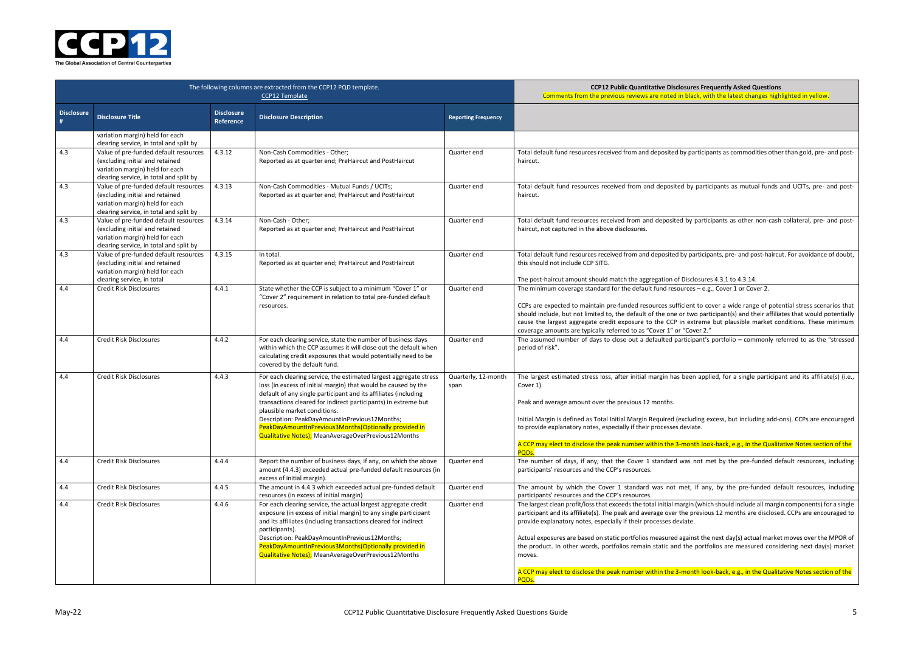**COPER BIG Productly Asked Questions** black, with the latest changes highlighted in yellow.

participants as commodities other than gold, pre- and post-

by participants as mutual funds and UCITs, pre- and post-

by participants as other non-cash collateral, pre- and post-

 $\gamma$  participants, pre- and post-haircut. For avoidance of doubt,

 $i$ sclosures 4.3.1 to 4.3.14.  $rces - e.g., Cover 1 or Cover 2.$ 

ient to cover a wide range of potential stress scenarios that two participant(s) and their affiliates that would potentially extreme but plausible market conditions. These minimum Cover 2."

icipant's portfolio – commonly referred to as the "stressed

een applied, for a single participant and its affiliate(s) (i.e.,

cluding excess, but including add-ons). CCPs are encouraged

nonth look-back, e.g., in the Qualitative Notes section of the

as not met by the pre-funded default resources, including

et, if any, by the pre-funded default resources, including

rgin (which should include all margin components) for a single ne previous 12 months are disclosed. CCPs are encouraged to

ainst the next day(s) actual market moves over the MPOR of he portfolios are measured considering next day(s) market

nonth look-back, e.g., in the Qualitative Notes section of the



|                        | The following columns are extracted from the CCP12 PQD template.                                                                                       | <b>CCP12 Public Quantitative Disclosures I</b><br>Comments from the previous reviews are noted in black, |                                                                                                                                                                                                                                                                                                                                                                                                                                                                           |                             |                                                                                                                                                                                                                                                                                                                                                                                                                                                    |
|------------------------|--------------------------------------------------------------------------------------------------------------------------------------------------------|----------------------------------------------------------------------------------------------------------|---------------------------------------------------------------------------------------------------------------------------------------------------------------------------------------------------------------------------------------------------------------------------------------------------------------------------------------------------------------------------------------------------------------------------------------------------------------------------|-----------------------------|----------------------------------------------------------------------------------------------------------------------------------------------------------------------------------------------------------------------------------------------------------------------------------------------------------------------------------------------------------------------------------------------------------------------------------------------------|
| <b>Disclosure</b><br># | <b>Disclosure Title</b>                                                                                                                                | <b>Disclosure</b><br>Reference                                                                           | <b>Disclosure Description</b>                                                                                                                                                                                                                                                                                                                                                                                                                                             | <b>Reporting Frequency</b>  |                                                                                                                                                                                                                                                                                                                                                                                                                                                    |
|                        | variation margin) held for each<br>clearing service, in total and split by                                                                             |                                                                                                          |                                                                                                                                                                                                                                                                                                                                                                                                                                                                           |                             |                                                                                                                                                                                                                                                                                                                                                                                                                                                    |
| 4.3                    | Value of pre-funded default resources<br>(excluding initial and retained<br>variation margin) held for each<br>clearing service, in total and split by | 4.3.12                                                                                                   | Non-Cash Commodities - Other;<br>Reported as at quarter end; PreHaircut and PostHaircut                                                                                                                                                                                                                                                                                                                                                                                   | Quarter end                 | Total default fund resources received from and deposited by parti<br>haircut.                                                                                                                                                                                                                                                                                                                                                                      |
| 4.3                    | Value of pre-funded default resources<br>(excluding initial and retained<br>variation margin) held for each<br>clearing service, in total and split by | 4.3.13                                                                                                   | Non-Cash Commodities - Mutual Funds / UCITs;<br>Reported as at quarter end; PreHaircut and PostHaircut                                                                                                                                                                                                                                                                                                                                                                    | Quarter end                 | Total default fund resources received from and deposited by pa<br>haircut.                                                                                                                                                                                                                                                                                                                                                                         |
| 4.3                    | Value of pre-funded default resources<br>(excluding initial and retained<br>variation margin) held for each<br>clearing service, in total and split by | 4.3.14                                                                                                   | Non-Cash - Other;<br>Reported as at quarter end; PreHaircut and PostHaircut                                                                                                                                                                                                                                                                                                                                                                                               | Quarter end                 | Total default fund resources received from and deposited by pa<br>haircut, not captured in the above disclosures.                                                                                                                                                                                                                                                                                                                                  |
| 4.3                    | Value of pre-funded default resources<br>(excluding initial and retained<br>variation margin) held for each<br>clearing service, in total              | 4.3.15                                                                                                   | In total.<br>Reported as at quarter end; PreHaircut and PostHaircut                                                                                                                                                                                                                                                                                                                                                                                                       | Quarter end                 | Total default fund resources received from and deposited by parti<br>this should not include CCP SITG.<br>The post-haircut amount should match the aggregation of Disclos                                                                                                                                                                                                                                                                          |
| 4.4                    | <b>Credit Risk Disclosures</b>                                                                                                                         | 4.4.1                                                                                                    | State whether the CCP is subject to a minimum "Cover 1" or<br>"Cover 2" requirement in relation to total pre-funded default<br>resources.                                                                                                                                                                                                                                                                                                                                 | Quarter end                 | The minimum coverage standard for the default fund resources -<br>CCPs are expected to maintain pre-funded resources sufficient to<br>should include, but not limited to, the default of the one or two p<br>cause the largest aggregate credit exposure to the CCP in extre<br>coverage amounts are typically referred to as "Cover 1" or "Cover                                                                                                  |
| 4.4                    | <b>Credit Risk Disclosures</b>                                                                                                                         | 4.4.2                                                                                                    | For each clearing service, state the number of business days<br>within which the CCP assumes it will close out the default when<br>calculating credit exposures that would potentially need to be<br>covered by the default fund.                                                                                                                                                                                                                                         | Quarter end                 | The assumed number of days to close out a defaulted participan<br>period of risk".                                                                                                                                                                                                                                                                                                                                                                 |
| 4.4                    | <b>Credit Risk Disclosures</b>                                                                                                                         | 4.4.3                                                                                                    | For each clearing service, the estimated largest aggregate stress<br>loss (in excess of initial margin) that would be caused by the<br>default of any single participant and its affiliates (including<br>transactions cleared for indirect participants) in extreme but<br>plausible market conditions.<br>Description: PeakDayAmountInPrevious12Months;<br>PeakDayAmountInPrevious3Months(Optionally provided in<br>Qualitative Notes); MeanAverageOverPrevious12Months | Quarterly, 12-month<br>span | The largest estimated stress loss, after initial margin has been a<br>Cover 1).<br>Peak and average amount over the previous 12 months.<br>Initial Margin is defined as Total Initial Margin Required (excludin<br>to provide explanatory notes, especially if their processes deviate.<br>A CCP may elect to disclose the peak number within the 3-month<br>PQDs.                                                                                 |
| 4.4                    | Credit Risk Disclosures                                                                                                                                | 4.4.4                                                                                                    | Report the number of business days, if any, on which the above<br>amount (4.4.3) exceeded actual pre-funded default resources (in<br>excess of initial margin).                                                                                                                                                                                                                                                                                                           | Quarter end                 | The number of days, if any, that the Cover 1 standard was not<br>participants' resources and the CCP's resources.                                                                                                                                                                                                                                                                                                                                  |
| 4.4                    | <b>Credit Risk Disclosures</b>                                                                                                                         | 4.4.5                                                                                                    | The amount in 4.4.3 which exceeded actual pre-funded default<br>resources (in excess of initial margin)                                                                                                                                                                                                                                                                                                                                                                   | Quarter end                 | The amount by which the Cover 1 standard was not met, if<br>participants' resources and the CCP's resources.                                                                                                                                                                                                                                                                                                                                       |
| 4.4                    | Credit Risk Disclosures                                                                                                                                | 4.4.6                                                                                                    | For each clearing service, the actual largest aggregate credit<br>exposure (in excess of initial margin) to any single participant<br>and its affiliates (including transactions cleared for indirect<br>participants).<br>Description: PeakDayAmountInPrevious12Months;<br>PeakDayAmountInPrevious3Months(Optionally provided in<br>Qualitative Notes); MeanAverageOverPrevious12Months                                                                                  | Quarter end                 | The largest clean profit/loss that exceeds the total initial margin (w<br>participant and its affiliate(s). The peak and average over the prev<br>provide explanatory notes, especially if their processes deviate.<br>Actual exposures are based on static portfolios measured against t<br>the product. In other words, portfolios remain static and the po<br>moves.<br>A CCP may elect to disclose the peak number within the 3-month<br>PQDs. |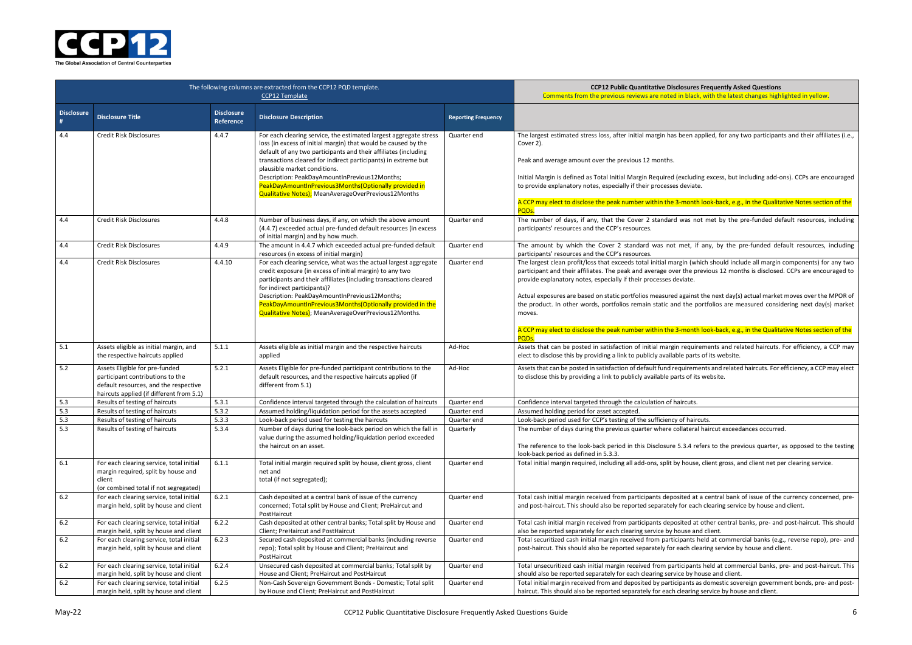**COPER BIG Products** Bures Frequently Asked Questions black, with the latest changes highlighted in yellow.

en applied, for any two participants and their affiliates (i.e.,

cluding excess, but including add-ons). CCPs are encouraged

nonth look-back, e.g., in the Qualitative Notes section of the

as not met by the pre-funded default resources, including

et, if any, by the pre-funded default resources, including

n (which should include all margin components) for any two he previous 12 months is disclosed. CCPs are encouraged to

ainst the next day(s) actual market moves over the MPOR of he portfolios are measured considering next day(s) market

nonth look-back, e.g., in the Qualitative Notes section of the

equirements and related haircuts. For efficiency, a CCP may parts of its website.

irements and related haircuts. For efficiency, a CCP may elect to disclose this website.

ateral haircut exceedances occurred.

8.4 refers to the previous quarter, as opposed to the testing

louse, client gross, and client net per clearing service.

ed at a central bank of issue of the currency concerned, prer each clearing service by house and client.

ed at other central banks, pre- and post-haircut. This should se and client.

ants held at commercial banks (e.g., reverse repo), pre- and ch clearing service by house and client.

ipants held at commercial banks, pre- and post-haircut. This by house and client.

nts as domestic sovereign government bonds, pre- and postaring service by house and client.



|                   | The following columns are extracted from the CCP12 PQD template.                                                                                        | <b>CCP12 Public Quantitative Disclosures Fred</b><br>Comments from the previous reviews are noted in black, wit |                                                                                                                                                                                                                                                                                                                                                                                                                                                                           |                            |                                                                                                                                                                                                                                                                                                                                                                                                                                                          |
|-------------------|---------------------------------------------------------------------------------------------------------------------------------------------------------|-----------------------------------------------------------------------------------------------------------------|---------------------------------------------------------------------------------------------------------------------------------------------------------------------------------------------------------------------------------------------------------------------------------------------------------------------------------------------------------------------------------------------------------------------------------------------------------------------------|----------------------------|----------------------------------------------------------------------------------------------------------------------------------------------------------------------------------------------------------------------------------------------------------------------------------------------------------------------------------------------------------------------------------------------------------------------------------------------------------|
| <b>Disclosure</b> | <b>Disclosure Title</b>                                                                                                                                 | <b>Disclosure</b><br>Reference                                                                                  | <b>Disclosure Description</b>                                                                                                                                                                                                                                                                                                                                                                                                                                             | <b>Reporting Frequency</b> |                                                                                                                                                                                                                                                                                                                                                                                                                                                          |
| 4.4               | <b>Credit Risk Disclosures</b>                                                                                                                          | 4.4.7                                                                                                           | For each clearing service, the estimated largest aggregate stress<br>loss (in excess of initial margin) that would be caused by the<br>default of any two participants and their affiliates (including<br>transactions cleared for indirect participants) in extreme but<br>plausible market conditions.<br>Description: PeakDayAmountInPrevious12Months;<br>PeakDayAmountInPrevious3Months(Optionally provided in<br>Qualitative Notes); MeanAverageOverPrevious12Months | Quarter end                | The largest estimated stress loss, after initial margin has been applie<br>Cover 2).<br>Peak and average amount over the previous 12 months.<br>Initial Margin is defined as Total Initial Margin Required (excluding ex<br>to provide explanatory notes, especially if their processes deviate.<br>A CCP may elect to disclose the peak number within the 3-month lool<br>PQDs.                                                                         |
| 4.4               | Credit Risk Disclosures                                                                                                                                 | 4.4.8                                                                                                           | Number of business days, if any, on which the above amount<br>(4.4.7) exceeded actual pre-funded default resources (in excess<br>of initial margin) and by how much.                                                                                                                                                                                                                                                                                                      | Quarter end                | The number of days, if any, that the Cover 2 standard was not mo<br>participants' resources and the CCP's resources.                                                                                                                                                                                                                                                                                                                                     |
| 4.4               | Credit Risk Disclosures                                                                                                                                 | 4.4.9                                                                                                           | The amount in 4.4.7 which exceeded actual pre-funded default<br>resources (in excess of initial margin)                                                                                                                                                                                                                                                                                                                                                                   | Quarter end                | The amount by which the Cover 2 standard was not met, if any<br>participants' resources and the CCP's resources.                                                                                                                                                                                                                                                                                                                                         |
| 4.4               | <b>Credit Risk Disclosures</b>                                                                                                                          | 4.4.10                                                                                                          | For each clearing service, what was the actual largest aggregate<br>credit exposure (in excess of initial margin) to any two<br>participants and their affiliates (including transactions cleared<br>for indirect participants)?<br>Description: PeakDayAmountInPrevious12Months;<br>PeakDayAmountInPrevious3Months(Optionally provided in the<br>Qualitative Notes); MeanAverageOverPrevious12Months.                                                                    | Quarter end                | The largest clean profit/loss that exceeds total initial margin (which s<br>participant and their affiliates. The peak and average over the previo<br>provide explanatory notes, especially if their processes deviate.<br>Actual exposures are based on static portfolios measured against the<br>the product. In other words, portfolios remain static and the portfo<br>moves.<br>A CCP may elect to disclose the peak number within the 3-month lool |
|                   |                                                                                                                                                         |                                                                                                                 |                                                                                                                                                                                                                                                                                                                                                                                                                                                                           |                            | PQD <sub>s</sub> .                                                                                                                                                                                                                                                                                                                                                                                                                                       |
| 5.1               | Assets eligible as initial margin, and<br>the respective haircuts applied                                                                               | 5.1.1                                                                                                           | Assets eligible as initial margin and the respective haircuts<br>applied                                                                                                                                                                                                                                                                                                                                                                                                  | Ad-Hoc                     | Assets that can be posted in satisfaction of initial margin requiremen<br>elect to disclose this by providing a link to publicly available parts of it                                                                                                                                                                                                                                                                                                   |
| 5.2               | Assets Eligible for pre-funded<br>participant contributions to the<br>default resources, and the respective<br>haircuts applied (if different from 5.1) | 5.2.1                                                                                                           | Assets Eligible for pre-funded participant contributions to the<br>default resources, and the respective haircuts applied (if<br>different from 5.1)                                                                                                                                                                                                                                                                                                                      | Ad-Hoc                     | Assets that can be posted in satisfaction of default fund requirements<br>to disclose this by providing a link to publicly available parts of its wel                                                                                                                                                                                                                                                                                                    |
| 5.3               | Results of testing of haircuts                                                                                                                          | 5.3.1                                                                                                           | Confidence interval targeted through the calculation of haircuts                                                                                                                                                                                                                                                                                                                                                                                                          | Quarter end                | Confidence interval targeted through the calculation of haircuts.                                                                                                                                                                                                                                                                                                                                                                                        |
| 5.3<br>5.3        | Results of testing of haircuts                                                                                                                          | 5.3.2                                                                                                           | Assumed holding/liquidation period for the assets accepted                                                                                                                                                                                                                                                                                                                                                                                                                | Quarter end                | Assumed holding period for asset accepted.                                                                                                                                                                                                                                                                                                                                                                                                               |
| 5.3               | Results of testing of haircuts<br>Results of testing of haircuts                                                                                        | 5.3.3<br>5.3.4                                                                                                  | Look-back period used for testing the haircuts<br>Number of days during the look-back period on which the fall in<br>value during the assumed holding/liquidation period exceeded<br>the haircut on an asset.                                                                                                                                                                                                                                                             | Quarter end<br>Quarterly   | Look-back period used for CCP's testing of the sufficiency of haircuts.<br>The number of days during the previous quarter where collateral hair<br>The reference to the look-back period in this Disclosure 5.3.4 refers<br>look-back period as defined in 5.3.3.                                                                                                                                                                                        |
| 6.1               | For each clearing service, total initial<br>margin required, split by house and<br>client<br>(or combined total if not segregated)                      | 6.1.1                                                                                                           | Total initial margin required split by house, client gross, client<br>net and<br>total (if not segregated);                                                                                                                                                                                                                                                                                                                                                               | Quarter end                | Total initial margin required, including all add-ons, split by house, clie                                                                                                                                                                                                                                                                                                                                                                               |
| 6.2               | For each clearing service, total initial<br>margin held, split by house and client                                                                      | 6.2.1                                                                                                           | Cash deposited at a central bank of issue of the currency<br>concerned; Total split by House and Client; PreHaircut and<br>PostHaircut                                                                                                                                                                                                                                                                                                                                    | Quarter end                | Total cash initial margin received from participants deposited at a ce<br>and post-haircut. This should also be reported separately for each cle                                                                                                                                                                                                                                                                                                         |
| $6.2\,$           | For each clearing service, total initial<br>margin held, split by house and client                                                                      | 6.2.2                                                                                                           | Cash deposited at other central banks; Total split by House and<br>Client; PreHaircut and PostHaircut                                                                                                                                                                                                                                                                                                                                                                     | Quarter end                | Total cash initial margin received from participants deposited at othe<br>also be reported separately for each clearing service by house and cli                                                                                                                                                                                                                                                                                                         |
| $6.2\,$           | For each clearing service, total initial<br>margin held, split by house and client                                                                      | 6.2.3                                                                                                           | Secured cash deposited at commercial banks (including reverse<br>repo); Total split by House and Client; PreHaircut and<br>PostHaircut                                                                                                                                                                                                                                                                                                                                    | Quarter end                | Total securitized cash initial margin received from participants held<br>post-haircut. This should also be reported separately for each clearing                                                                                                                                                                                                                                                                                                         |
| 6.2               | For each clearing service, total initial<br>margin held, split by house and client                                                                      | 6.2.4                                                                                                           | Unsecured cash deposited at commercial banks; Total split by<br>House and Client; PreHaircut and PostHaircut                                                                                                                                                                                                                                                                                                                                                              | Quarter end                | Total unsecuritized cash initial margin received from participants hel<br>should also be reported separately for each clearing service by house                                                                                                                                                                                                                                                                                                          |
| $6.2\,$           | For each clearing service, total initial<br>margin held, split by house and client                                                                      | 6.2.5                                                                                                           | Non-Cash Sovereign Government Bonds - Domestic; Total split<br>by House and Client; PreHaircut and PostHaircut                                                                                                                                                                                                                                                                                                                                                            | Quarter end                | Total initial margin received from and deposited by participants as do<br>haircut. This should also be reported separately for each clearing serv                                                                                                                                                                                                                                                                                                        |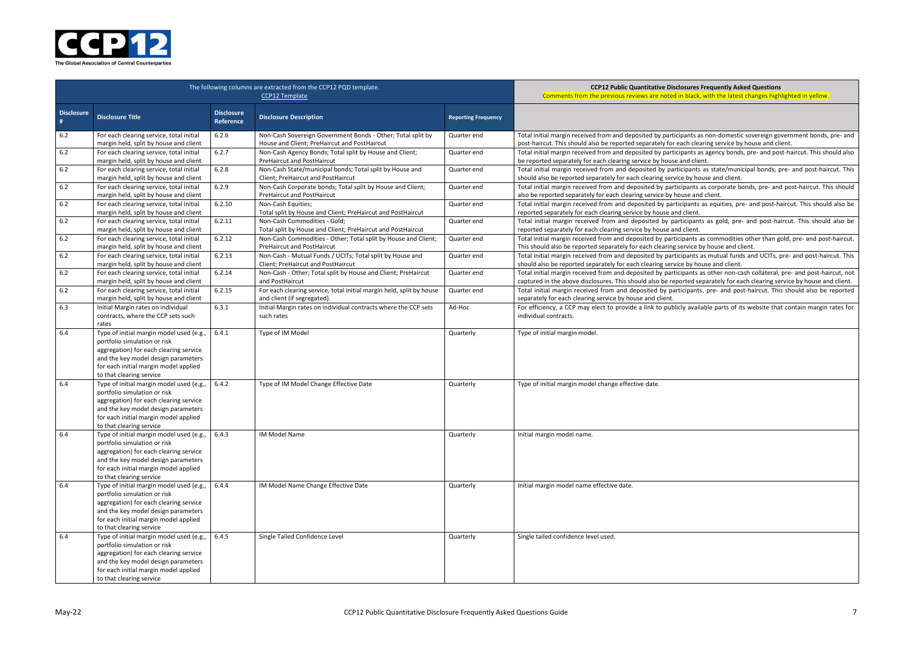

|                        | The following columns are extracted from the CCP12 PQD template.                                                                                                                                                               | <b>CCP12 Public Quantitative Disclosures</b><br>Comments from the previous reviews are noted in black |                                                                                                             |                            |                                                                                                                                          |
|------------------------|--------------------------------------------------------------------------------------------------------------------------------------------------------------------------------------------------------------------------------|-------------------------------------------------------------------------------------------------------|-------------------------------------------------------------------------------------------------------------|----------------------------|------------------------------------------------------------------------------------------------------------------------------------------|
| <b>Disclosure</b><br># | <b>Disclosure Title</b>                                                                                                                                                                                                        | <b>Disclosure</b><br>Reference                                                                        | <b>Disclosure Description</b>                                                                               | <b>Reporting Frequency</b> |                                                                                                                                          |
| $6.2$                  | For each clearing service, total initial<br>margin held, split by house and client                                                                                                                                             | 6.2.6                                                                                                 | Non-Cash Sovereign Government Bonds - Other; Total split by<br>House and Client; PreHaircut and PostHaircut | Quarter end                | Total initial margin received from and deposited by participants a<br>post-haircut. This should also be reported separately for each cle |
| $6.2\,$                | For each clearing service, total initial<br>margin held, split by house and client                                                                                                                                             | 6.2.7                                                                                                 | Non-Cash Agency Bonds; Total split by House and Client;<br><b>PreHaircut and PostHaircut</b>                | Quarter end                | Total initial margin received from and deposited by participants a<br>be reported separately for each clearing service by house and clie |
| $6.2$                  | For each clearing service, total initial<br>margin held, split by house and client                                                                                                                                             | 6.2.8                                                                                                 | Non-Cash State/municipal bonds; Total split by House and<br>Client; PreHaircut and PostHaircut              | Quarter end                | Total initial margin received from and deposited by participants<br>should also be reported separately for each clearing service by ho   |
| $6.2$                  | For each clearing service, total initial<br>margin held, split by house and client                                                                                                                                             | 6.2.9                                                                                                 | Non-Cash Corporate bonds; Total split by House and Client;<br><b>PreHaircut and PostHaircut</b>             | Quarter end                | Total initial margin received from and deposited by participants<br>also be reported separately for each clearing service by house an    |
| $6.2$                  | For each clearing service, total initial<br>margin held, split by house and client                                                                                                                                             | 6.2.10                                                                                                | Non-Cash Equities;<br>Total split by House and Client; PreHaircut and PostHaircut                           | Quarter end                | Total initial margin received from and deposited by participants<br>reported separately for each clearing service by house and client.   |
| $6.2\,$                | For each clearing service, total initial<br>margin held, split by house and client                                                                                                                                             | 6.2.11                                                                                                | Non-Cash Commodities - Gold;<br>Total split by House and Client; PreHaircut and PostHaircut                 | Quarter end                | Total initial margin received from and deposited by participan<br>reported separately for each clearing service by house and client.     |
| $6.2\,$                | For each clearing service, total initial<br>margin held, split by house and client                                                                                                                                             | 6.2.12                                                                                                | Non-Cash Commodities - Other; Total split by House and Client;<br><b>PreHaircut and PostHaircut</b>         | Quarter end                | Total initial margin received from and deposited by participants<br>This should also be reported separately for each clearing service I  |
| $6.2$                  | For each clearing service, total initial<br>margin held, split by house and client                                                                                                                                             | 6.2.13                                                                                                | Non-Cash - Mutual Funds / UCITs; Total split by House and<br>Client; PreHaircut and PostHaircut             | Quarter end                | Total initial margin received from and deposited by participants<br>should also be reported separately for each clearing service by ho   |
| $6.2$                  | For each clearing service, total initial<br>margin held, split by house and client                                                                                                                                             | 6.2.14                                                                                                | Non-Cash - Other; Total split by House and Client; PreHaircut<br>and PostHaircut                            | Quarter end                | Total initial margin received from and deposited by participants<br>captured in the above disclosures. This should also be reported so   |
| $6.2$                  | For each clearing service, total initial<br>margin held, split by house and client                                                                                                                                             | 6.2.15                                                                                                | For each clearing service, total initial margin held, split by house<br>and client (if segregated).         | Quarter end                | Total initial margin received from and deposited by participant<br>separately for each clearing service by house and client.             |
| 6.3                    | Initial Margin rates on individual<br>contracts, where the CCP sets such<br>rates                                                                                                                                              | 6.3.1                                                                                                 | Initial Margin rates on individual contracts where the CCP sets<br>such rates                               | Ad-Hoc                     | For efficiency, a CCP may elect to provide a link to publicly avai<br>individual contracts.                                              |
| 6.4                    | Type of initial margin model used (e.g.,<br>portfolio simulation or risk<br>aggregation) for each clearing service<br>and the key model design parameters<br>for each initial margin model applied<br>to that clearing service | 6.4.1                                                                                                 | Type of IM Model                                                                                            | Quarterly                  | Type of initial margin model.                                                                                                            |
| 6.4                    | Type of initial margin model used (e.g.,<br>portfolio simulation or risk<br>aggregation) for each clearing service<br>and the key model design parameters<br>for each initial margin model applied<br>to that clearing service | 6.4.2                                                                                                 | Type of IM Model Change Effective Date                                                                      | Quarterly                  | Type of initial margin model change effective date.                                                                                      |
| 6.4                    | Type of initial margin model used (e.g.,<br>portfolio simulation or risk<br>aggregation) for each clearing service<br>and the key model design parameters<br>for each initial margin model applied<br>to that clearing service | 6.4.3                                                                                                 | IM Model Name                                                                                               | Quarterly                  | Initial margin model name.                                                                                                               |
| 6.4                    | Type of initial margin model used (e.g.,<br>portfolio simulation or risk<br>aggregation) for each clearing service<br>and the key model design parameters<br>for each initial margin model applied<br>to that clearing service | 6.4.4                                                                                                 | IM Model Name Change Effective Date                                                                         | Quarterly                  | Initial margin model name effective date.                                                                                                |
| 6.4                    | Type of initial margin model used (e.g.,<br>portfolio simulation or risk<br>aggregation) for each clearing service<br>and the key model design parameters<br>for each initial margin model applied<br>to that clearing service | 6.4.5                                                                                                 | Single Tailed Confidence Level                                                                              | Quarterly                  | Single tailed confidence level used.                                                                                                     |

#### **Sures Frequently Asked Questions** black, with the latest changes highlighted in yellow.

ants as non-domestic sovereign government bonds, pre- and ch clearing service by house and client.

ants as agency bonds, pre- and post-haircut. This should also nd client.

pants as state/municipal bonds, pre- and post-haircut. This by house and client.

pants as corporate bonds, pre- and post-haircut. This should se and client.

pants as equities, pre- and post-haircut. This should also be

cipants as gold, pre- and post-haircut. This should also be

ants as commodities other than gold, pre- and post-haircut. vice by house and client.

pants as mutual funds and UCITs, pre- and post-haircut. This by house and client.

ants as other non-cash collateral, pre- and post-haircut, not ted separately for each clearing service by house and client. ipants, pre- and post-haircut. This should also be reported

available parts of its website that contain margin rates for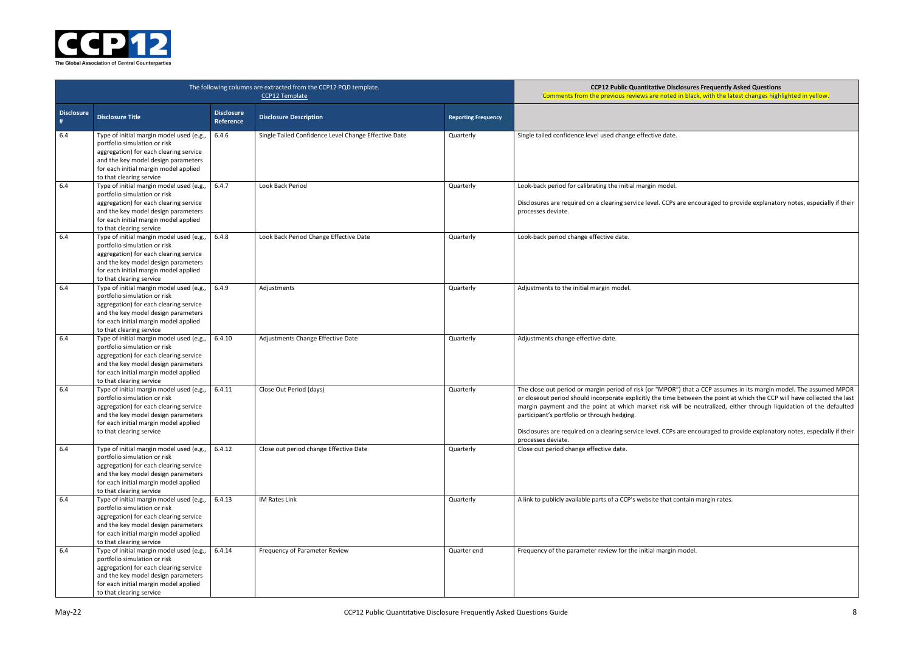| e encouraged to provide explanatory notes, especially if thei <sup>-</sup>                                                                                                               |
|------------------------------------------------------------------------------------------------------------------------------------------------------------------------------------------|
|                                                                                                                                                                                          |
|                                                                                                                                                                                          |
|                                                                                                                                                                                          |
|                                                                                                                                                                                          |
|                                                                                                                                                                                          |
|                                                                                                                                                                                          |
| that a CCP assumes in its margin model. The assumed MPOI<br>etween the point at which the CCP will have collected the las<br>be neutralized, either through liquidation of the defaulted |
| e encouraged to provide explanatory notes, especially if thei <sup>-</sup>                                                                                                               |
|                                                                                                                                                                                          |
|                                                                                                                                                                                          |
| ntain margin rates.                                                                                                                                                                      |
|                                                                                                                                                                                          |
| odel.                                                                                                                                                                                    |
|                                                                                                                                                                                          |
|                                                                                                                                                                                          |



|                   |                                                                                                                                                                                                                                |                                | The following columns are extracted from the CCP12 PQD template.<br>CCP12 Template | <b>CCP12 Public Quantitative Disclosures Frequently Asked Questions</b><br>Comments from the previous reviews are noted in black, with the latest changes highlighted in yellow. |                                                                                                                                                                                                                                                                                                                                                                                                                                                                                                                                                                           |
|-------------------|--------------------------------------------------------------------------------------------------------------------------------------------------------------------------------------------------------------------------------|--------------------------------|------------------------------------------------------------------------------------|----------------------------------------------------------------------------------------------------------------------------------------------------------------------------------|---------------------------------------------------------------------------------------------------------------------------------------------------------------------------------------------------------------------------------------------------------------------------------------------------------------------------------------------------------------------------------------------------------------------------------------------------------------------------------------------------------------------------------------------------------------------------|
| <b>Disclosure</b> | <b>Disclosure Title</b>                                                                                                                                                                                                        | <b>Disclosure</b><br>Reference | <b>Disclosure Description</b>                                                      | <b>Reporting Frequency</b>                                                                                                                                                       |                                                                                                                                                                                                                                                                                                                                                                                                                                                                                                                                                                           |
| 6.4               | Type of initial margin model used (e.g.<br>portfolio simulation or risk<br>aggregation) for each clearing service<br>and the key model design parameters<br>for each initial margin model applied<br>to that clearing service  | 6.4.6                          | Single Tailed Confidence Level Change Effective Date                               | Quarterly                                                                                                                                                                        | Single tailed confidence level used change effective date.                                                                                                                                                                                                                                                                                                                                                                                                                                                                                                                |
| 6.4               | Type of initial margin model used (e.g.<br>portfolio simulation or risk<br>aggregation) for each clearing service<br>and the key model design parameters<br>for each initial margin model applied<br>to that clearing service  | 6.4.7                          | Look Back Period                                                                   | Quarterly                                                                                                                                                                        | Look-back period for calibrating the initial margin model.<br>Disclosures are required on a clearing service level. CCPs are encouraged to provide explanatory notes, especially if their<br>processes deviate.                                                                                                                                                                                                                                                                                                                                                           |
| 6.4               | Type of initial margin model used (e.g.,<br>portfolio simulation or risk<br>aggregation) for each clearing service<br>and the key model design parameters<br>for each initial margin model applied<br>to that clearing service | 6.4.8                          | Look Back Period Change Effective Date                                             | Quarterly                                                                                                                                                                        | Look-back period change effective date.                                                                                                                                                                                                                                                                                                                                                                                                                                                                                                                                   |
| 6.4               | Type of initial margin model used (e.g.,<br>portfolio simulation or risk<br>aggregation) for each clearing service<br>and the key model design parameters<br>for each initial margin model applied<br>to that clearing service | 6.4.9                          | Adjustments                                                                        | Quarterly                                                                                                                                                                        | Adjustments to the initial margin model.                                                                                                                                                                                                                                                                                                                                                                                                                                                                                                                                  |
| 6.4               | Type of initial margin model used (e.g.<br>portfolio simulation or risk<br>aggregation) for each clearing service<br>and the key model design parameters<br>for each initial margin model applied<br>to that clearing service  | 6.4.10                         | Adjustments Change Effective Date                                                  | Quarterly                                                                                                                                                                        | Adjustments change effective date.                                                                                                                                                                                                                                                                                                                                                                                                                                                                                                                                        |
| 6.4               | Type of initial margin model used (e.g.<br>portfolio simulation or risk<br>aggregation) for each clearing service<br>and the key model design parameters<br>for each initial margin model applied<br>to that clearing service  | 6.4.11                         | Close Out Period (days)                                                            | Quarterly                                                                                                                                                                        | The close out period or margin period of risk (or "MPOR") that a CCP assumes in its margin model. The assumed MPOR<br>or closeout period should incorporate explicitly the time between the point at which the CCP will have collected the last<br>margin payment and the point at which market risk will be neutralized, either through liquidation of the defaulted<br>participant's portfolio or through hedging.<br>Disclosures are required on a clearing service level. CCPs are encouraged to provide explanatory notes, especially if their<br>processes deviate. |
| 6.4               | Type of initial margin model used (e.g.,<br>portfolio simulation or risk<br>aggregation) for each clearing service<br>and the key model design parameters<br>for each initial margin model applied<br>to that clearing service | 6.4.12                         | Close out period change Effective Date                                             | Quarterly                                                                                                                                                                        | Close out period change effective date.                                                                                                                                                                                                                                                                                                                                                                                                                                                                                                                                   |
| 6.4               | Type of initial margin model used (e.g.,<br>portfolio simulation or risk<br>aggregation) for each clearing service<br>and the key model design parameters<br>for each initial margin model applied<br>to that clearing service | 6.4.13                         | <b>IM Rates Link</b>                                                               | Quarterly                                                                                                                                                                        | A link to publicly available parts of a CCP's website that contain margin rates.                                                                                                                                                                                                                                                                                                                                                                                                                                                                                          |
| 6.4               | Type of initial margin model used (e.g.<br>portfolio simulation or risk<br>aggregation) for each clearing service<br>and the key model design parameters<br>for each initial margin model applied<br>to that clearing service  | 6.4.14                         | Frequency of Parameter Review                                                      | Quarter end                                                                                                                                                                      | Frequency of the parameter review for the initial margin model.                                                                                                                                                                                                                                                                                                                                                                                                                                                                                                           |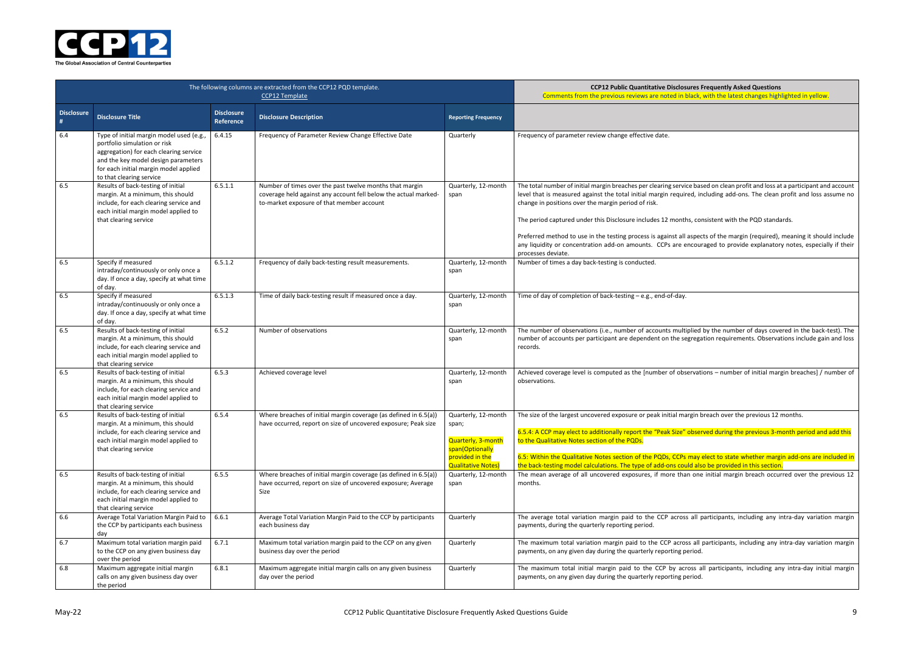| ires Frequently Asked Questions<br>lack, with the latest changes highlighted in yellow.                                     |
|-----------------------------------------------------------------------------------------------------------------------------|
|                                                                                                                             |
|                                                                                                                             |
|                                                                                                                             |
| e based on clean profit and loss at a participant and account<br>ed, including add-ons. The clean profit and loss assume no |
| s, consistent with the PQD standards.                                                                                       |
| spects of the margin (required), meaning it should include<br>ncouraged to provide explanatory notes, especially if their   |
|                                                                                                                             |
|                                                                                                                             |
|                                                                                                                             |
| blied by the number of days covered in the back-test). The<br>gregation requirements. Observations include gain and loss    |
| ervations - number of initial margin breaches] / number of                                                                  |
| gin breach over the previous 12 months                                                                                      |
| observed during the previous 3-month period and add this                                                                    |
| may elect to state whether margin add-ons are included in<br>d also be provided in this section.                            |
| one initial margin breach occurred over the previous 12                                                                     |
| all participants, including any intra-day variation margin                                                                  |
| s all participants, including any intra-day variation margin<br>riod.                                                       |
| oss all participants, including any intra-day initial margin                                                                |



|                                       |                                                                                                                                                                                                                                |                                | The following columns are extracted from the CCP12 PQD template.<br>CCP <sub>12</sub> Template                                                                          | <b>CCP12 Public Quantitative Disclosures Frequently Asked Questions</b><br>Comments from the previous reviews are noted in black, with the latest changes highlighted in yellow. |                                                                                                                                                                                                                                                                                                                                                                                                                                                                                                               |
|---------------------------------------|--------------------------------------------------------------------------------------------------------------------------------------------------------------------------------------------------------------------------------|--------------------------------|-------------------------------------------------------------------------------------------------------------------------------------------------------------------------|----------------------------------------------------------------------------------------------------------------------------------------------------------------------------------|---------------------------------------------------------------------------------------------------------------------------------------------------------------------------------------------------------------------------------------------------------------------------------------------------------------------------------------------------------------------------------------------------------------------------------------------------------------------------------------------------------------|
| <b>Disclosure</b><br>$\boldsymbol{H}$ | <b>Disclosure Title</b>                                                                                                                                                                                                        | <b>Disclosure</b><br>Reference | <b>Disclosure Description</b>                                                                                                                                           | <b>Reporting Frequency</b>                                                                                                                                                       |                                                                                                                                                                                                                                                                                                                                                                                                                                                                                                               |
| 6.4                                   | Type of initial margin model used (e.g.,<br>portfolio simulation or risk<br>aggregation) for each clearing service<br>and the key model design parameters<br>for each initial margin model applied<br>to that clearing service | 6.4.15                         | Frequency of Parameter Review Change Effective Date                                                                                                                     | Quarterly                                                                                                                                                                        | Frequency of parameter review change effective date.                                                                                                                                                                                                                                                                                                                                                                                                                                                          |
| 6.5                                   | Results of back-testing of initial<br>margin. At a minimum, this should<br>include, for each clearing service and<br>each initial margin model applied to<br>that clearing service                                             | 6.5.1.1                        | Number of times over the past twelve months that margin<br>coverage held against any account fell below the actual marked-<br>to-market exposure of that member account | Quarterly, 12-month<br>span                                                                                                                                                      | The total number of initial margin breaches per clearing service based on clean profit and loss at a participant and account<br>level that is measured against the total initial margin required, including add-ons. The clean profit and loss assume no<br>change in positions over the margin period of risk.<br>The period captured under this Disclosure includes 12 months, consistent with the PQD standards.                                                                                           |
|                                       |                                                                                                                                                                                                                                |                                |                                                                                                                                                                         |                                                                                                                                                                                  | Preferred method to use in the testing process is against all aspects of the margin (required), meaning it should include<br>any liquidity or concentration add-on amounts. CCPs are encouraged to provide explanatory notes, especially if their<br>processes deviate.                                                                                                                                                                                                                                       |
| 6.5                                   | Specify if measured<br>intraday/continuously or only once a<br>day. If once a day, specify at what time<br>of day.                                                                                                             | 6.5.1.2                        | Frequency of daily back-testing result measurements.                                                                                                                    | Quarterly, 12-month<br>span                                                                                                                                                      | Number of times a day back-testing is conducted.                                                                                                                                                                                                                                                                                                                                                                                                                                                              |
| 6.5                                   | Specify if measured<br>intraday/continuously or only once a<br>day. If once a day, specify at what time<br>of day.                                                                                                             | 6.5.1.3                        | Time of daily back-testing result if measured once a day.                                                                                                               | Quarterly, 12-month<br>span                                                                                                                                                      | Time of day of completion of back-testing - e.g., end-of-day.                                                                                                                                                                                                                                                                                                                                                                                                                                                 |
| 6.5                                   | Results of back-testing of initial<br>margin. At a minimum, this should<br>include, for each clearing service and<br>each initial margin model applied to<br>that clearing service                                             | 6.5.2                          | Number of observations                                                                                                                                                  | Quarterly, 12-month<br>span                                                                                                                                                      | The number of observations (i.e., number of accounts multiplied by the number of days covered in the back-test). The<br>number of accounts per participant are dependent on the segregation requirements. Observations include gain and loss<br>records.                                                                                                                                                                                                                                                      |
| 6.5                                   | Results of back-testing of initial<br>margin. At a minimum, this should<br>include, for each clearing service and<br>each initial margin model applied to<br>that clearing service                                             | 6.5.3                          | Achieved coverage level                                                                                                                                                 | Quarterly, 12-month<br>span                                                                                                                                                      | Achieved coverage level is computed as the [number of observations - number of initial margin breaches] / number of<br>observations.                                                                                                                                                                                                                                                                                                                                                                          |
| 6.5                                   | Results of back-testing of initial<br>margin. At a minimum, this should<br>include, for each clearing service and<br>each initial margin model applied to<br>that clearing service                                             | 6.5.4                          | Where breaches of initial margin coverage (as defined in 6.5(a))<br>have occurred, report on size of uncovered exposure; Peak size                                      | Quarterly, 12-month<br>span;<br>Quarterly, 3-month<br>span(Optionally<br>provided in the<br><b>Qualitative Notes)</b>                                                            | The size of the largest uncovered exposure or peak initial margin breach over the previous 12 months.<br>6.5.4: A CCP may elect to additionally report the "Peak Size" observed during the previous 3-month period and add this<br>to the Qualitative Notes section of the PQDs.<br>6.5: Within the Qualitative Notes section of the PQDs, CCPs may elect to state whether margin add-ons are included in<br>the back-testing model calculations. The type of add-ons could also be provided in this section. |
| 6.5                                   | Results of back-testing of initial<br>margin. At a minimum, this should<br>include, for each clearing service and<br>each initial margin model applied to<br>that clearing service                                             | 6.5.5                          | Where breaches of initial margin coverage (as defined in 6.5(a))<br>have occurred, report on size of uncovered exposure; Average<br>Size                                | Quarterly, 12-month<br>span                                                                                                                                                      | The mean average of all uncovered exposures, if more than one initial margin breach occurred over the previous 12<br>months.                                                                                                                                                                                                                                                                                                                                                                                  |
| 6.6                                   | Average Total Variation Margin Paid to<br>the CCP by participants each business<br>day                                                                                                                                         | 6.6.1                          | Average Total Variation Margin Paid to the CCP by participants<br>each business day                                                                                     | Quarterly                                                                                                                                                                        | The average total variation margin paid to the CCP across all participants, including any intra-day variation margin<br>payments, during the quarterly reporting period.                                                                                                                                                                                                                                                                                                                                      |
| 6.7                                   | Maximum total variation margin paid<br>to the CCP on any given business day<br>over the period                                                                                                                                 | 6.7.1                          | Maximum total variation margin paid to the CCP on any given<br>business day over the period                                                                             | Quarterly                                                                                                                                                                        | The maximum total variation margin paid to the CCP across all participants, including any intra-day variation margin<br>payments, on any given day during the quarterly reporting period.                                                                                                                                                                                                                                                                                                                     |
| 6.8                                   | Maximum aggregate initial margin<br>calls on any given business day over<br>the period                                                                                                                                         | 6.8.1                          | Maximum aggregate initial margin calls on any given business<br>day over the period                                                                                     | Quarterly                                                                                                                                                                        | The maximum total initial margin paid to the CCP by across all participants, including any intra-day initial margin<br>payments, on any given day during the quarterly reporting period.                                                                                                                                                                                                                                                                                                                      |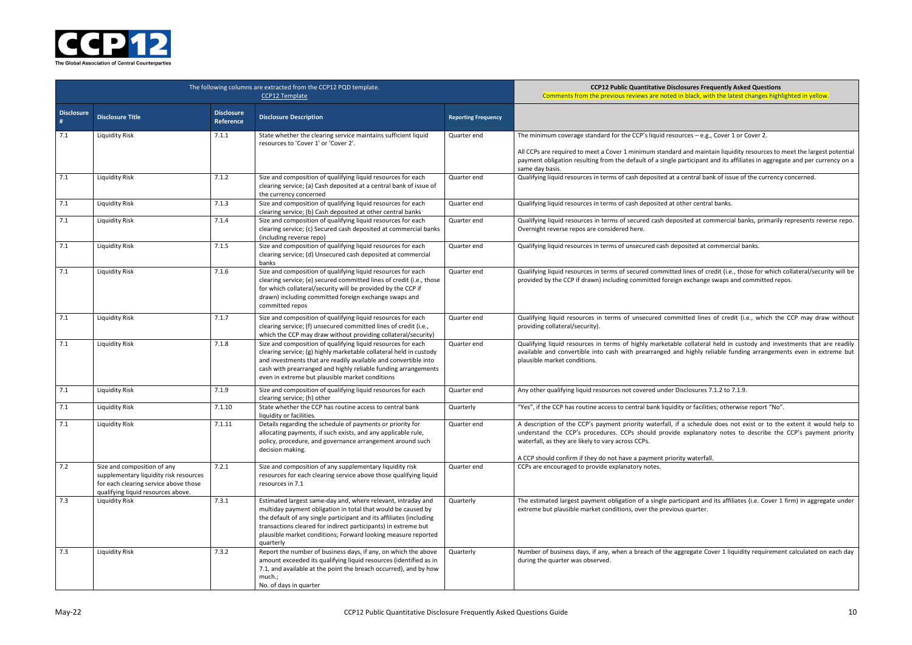**COPER BIG Productly Asked Questions** black, with the latest changes highlighted in yellow.

 $ces - e.g., Cover 1 or Cover 2.$ 

and maintain liquidity resources to meet the largest potential rticipant and its affiliates in aggregate and per currency on a

entral bank of issue of the currency concerned.

er central banks.

ted at commercial banks, primarily represents reverse repo.

 $\overline{\text{sited at commercial banks}}$ .

ines of credit (i.e., those for which collateral/security will be exchange swaps and committed repos.

ted lines of credit (i.e., which the CCP may draw without

collateral held in custody and investments that are readily highly reliable funding arrangements even in extreme but

closures  $7.1.2$  to  $7.1.9$ .

or facilities; otherwise report "No".

schedule does not exist or to the extent it would help to explanatory notes to describe the CCP's payment priority

waterfall.

ipant and its affiliates (i.e. Cover 1 firm) in aggregate under quarter.

regate Cover 1 liquidity requirement calculated on each day



|                        | The following columns are extracted from the CCP12 PQD template.                                                                                     | <b>CCP12 Public Quantitative Disclos</b><br>Comments from the previous reviews are noted in b |                                                                                                                                                                                                                                                                                                                                                     |                            |                                                                                                                                                                                                                                            |
|------------------------|------------------------------------------------------------------------------------------------------------------------------------------------------|-----------------------------------------------------------------------------------------------|-----------------------------------------------------------------------------------------------------------------------------------------------------------------------------------------------------------------------------------------------------------------------------------------------------------------------------------------------------|----------------------------|--------------------------------------------------------------------------------------------------------------------------------------------------------------------------------------------------------------------------------------------|
| <b>Disclosure</b><br># | <b>Disclosure Title</b>                                                                                                                              | <b>Disclosure</b><br><b>Reference</b>                                                         | <b>Disclosure Description</b>                                                                                                                                                                                                                                                                                                                       | <b>Reporting Frequency</b> |                                                                                                                                                                                                                                            |
| 7.1                    | <b>Liquidity Risk</b>                                                                                                                                | 7.1.1                                                                                         | State whether the clearing service maintains sufficient liquid<br>resources to 'Cover 1' or 'Cover 2'.                                                                                                                                                                                                                                              | Quarter end                | The minimum coverage standard for the CCP's liquid resourc<br>All CCPs are required to meet a Cover 1 minimum standard a<br>payment obligation resulting from the default of a single par<br>same day basis.                               |
| 7.1                    | <b>Liquidity Risk</b>                                                                                                                                | 7.1.2                                                                                         | Size and composition of qualifying liquid resources for each<br>clearing service; (a) Cash deposited at a central bank of issue of<br>the currency concerned                                                                                                                                                                                        | Quarter end                | Qualifying liquid resources in terms of cash deposited at a ce                                                                                                                                                                             |
| 7.1                    | <b>Liquidity Risk</b>                                                                                                                                | 7.1.3                                                                                         | Size and composition of qualifying liquid resources for each<br>clearing service; (b) Cash deposited at other central banks                                                                                                                                                                                                                         | Quarter end                | Qualifying liquid resources in terms of cash deposited at othe                                                                                                                                                                             |
| 7.1                    | Liquidity Risk                                                                                                                                       | 7.1.4                                                                                         | Size and composition of qualifying liquid resources for each<br>clearing service; (c) Secured cash deposited at commercial banks<br>(including reverse repo)                                                                                                                                                                                        | Quarter end                | Qualifying liquid resources in terms of secured cash deposit<br>Overnight reverse repos are considered here.                                                                                                                               |
| 7.1                    | <b>Liquidity Risk</b>                                                                                                                                | 7.1.5                                                                                         | Size and composition of qualifying liquid resources for each<br>clearing service; (d) Unsecured cash deposited at commercial<br>banks                                                                                                                                                                                                               | Quarter end                | Qualifying liquid resources in terms of unsecured cash depos                                                                                                                                                                               |
| 7.1                    | <b>Liquidity Risk</b>                                                                                                                                | 7.1.6                                                                                         | Size and composition of qualifying liquid resources for each<br>clearing service; (e) secured committed lines of credit (i.e., those<br>for which collateral/security will be provided by the CCP if<br>drawn) including committed foreign exchange swaps and<br>committed repos                                                                    | Quarter end                | Qualifying liquid resources in terms of secured committed li<br>provided by the CCP if drawn) including committed foreign e                                                                                                                |
| 7.1                    | <b>Liquidity Risk</b>                                                                                                                                | 7.1.7                                                                                         | Size and composition of qualifying liquid resources for each<br>clearing service; (f) unsecured committed lines of credit (i.e.,<br>which the CCP may draw without providing collateral/security)                                                                                                                                                   | Quarter end                | Qualifying liquid resources in terms of unsecured committ<br>providing collateral/security).                                                                                                                                               |
| 7.1                    | <b>Liquidity Risk</b>                                                                                                                                | 7.1.8                                                                                         | Size and composition of qualifying liquid resources for each<br>clearing service; (g) highly marketable collateral held in custody<br>and investments that are readily available and convertible into<br>cash with prearranged and highly reliable funding arrangements<br>even in extreme but plausible market conditions                          | Quarter end                | Qualifying liquid resources in terms of highly marketable o<br>available and convertible into cash with prearranged and I<br>plausible market conditions.                                                                                  |
| 7.1                    | <b>Liquidity Risk</b>                                                                                                                                | 7.1.9                                                                                         | Size and composition of qualifying liquid resources for each<br>clearing service; (h) other                                                                                                                                                                                                                                                         | Quarter end                | Any other qualifying liquid resources not covered under Disc                                                                                                                                                                               |
| 7.1                    | <b>Liquidity Risk</b>                                                                                                                                | 7.1.10                                                                                        | State whether the CCP has routine access to central bank<br>liquidity or facilities.                                                                                                                                                                                                                                                                | Quarterly                  | "Yes", if the CCP has routine access to central bank liquidity                                                                                                                                                                             |
| $7.1\,$                | <b>Liquidity Risk</b>                                                                                                                                | 7.1.11                                                                                        | Details regarding the schedule of payments or priority for<br>allocating payments, if such exists, and any applicable rule,<br>policy, procedure, and governance arrangement around such<br>decision making.                                                                                                                                        | Quarter end                | A description of the CCP's payment priority waterfall, if a<br>understand the CCP's procedures. CCPs should provide e<br>waterfall, as they are likely to vary across CCPs.<br>A CCP should confirm if they do not have a payment priority |
| 7.2                    | Size and composition of any<br>supplementary liquidity risk resources<br>for each clearing service above those<br>qualifying liquid resources above. | 7.2.1                                                                                         | Size and composition of any supplementary liquidity risk<br>resources for each clearing service above those qualifying liquid<br>resources in 7.1                                                                                                                                                                                                   | Quarter end                | CCPs are encouraged to provide explanatory notes.                                                                                                                                                                                          |
| 7.3                    | <b>Liquidity Risk</b>                                                                                                                                | 7.3.1                                                                                         | Estimated largest same-day and, where relevant, intraday and<br>multiday payment obligation in total that would be caused by<br>the default of any single participant and its affiliates (including<br>transactions cleared for indirect participants) in extreme but<br>plausible market conditions; Forward looking measure reported<br>quarterly | Quarterly                  | The estimated largest payment obligation of a single partici<br>extreme but plausible market conditions, over the previous o                                                                                                               |
| 7.3                    | <b>Liquidity Risk</b>                                                                                                                                | 7.3.2                                                                                         | Report the number of business days, if any, on which the above<br>amount exceeded its qualifying liquid resources (identified as in<br>7.1, and available at the point the breach occurred), and by how<br>much.;<br>No. of days in quarter                                                                                                         | Quarterly                  | Number of business days, if any, when a breach of the aggr<br>during the quarter was observed.                                                                                                                                             |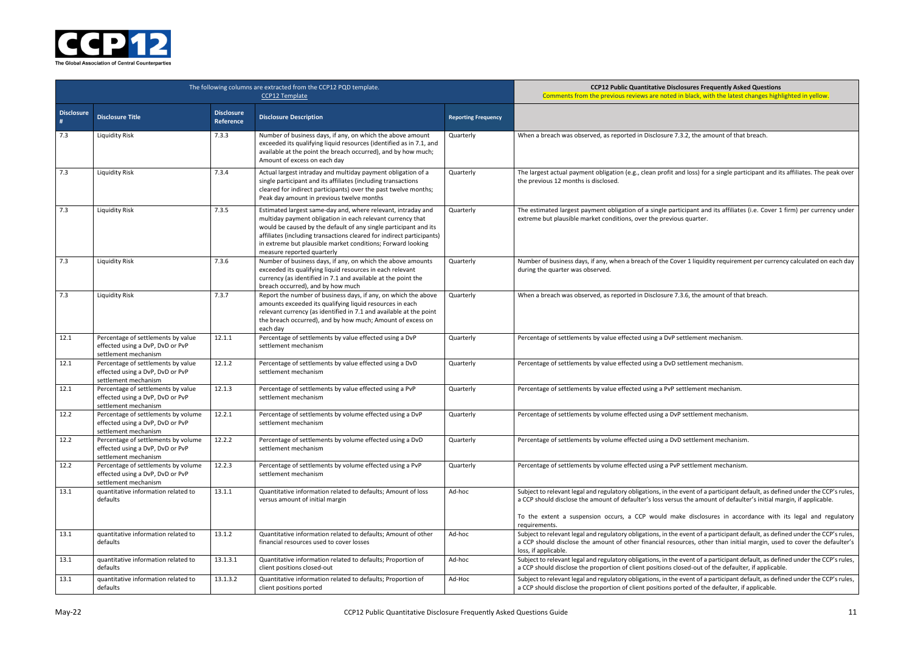**COPER Bubbis Prequently Asked Questions** black, with the latest changes highlighted in yellow.

2, the amount of that breach.

loss) for a single participant and its affiliates. The peak over

tipant and its affiliates (i.e. Cover 1 firm) per currency under quarter.

 $\cdot$  1 liquidity requirement per currency calculated on each day

6, the amount of that breach.

tlement mechanism.

tlement mechanism.

tlement mechanism.

ettlement mechanism.

settlement mechanism.

ettlement mechanism.

ent of a participant default, as defined under the CCP's rules, the amount of defaulter's initial margin, if applicable.

disclosures in accordance with its legal and regulatory

ent of a participant default, as defined under the CCP's rules, ces, other than initial margin, used to cover the defaulter's

ent of a participant default, as defined under the CCP's rules, ed-out of the defaulter, if applicable.

 $\alpha$ ent of a participant default, as defined under the CCP's rules, ed of the defaulter, if applicable.



|                        | The following columns are extracted from the CCP12 PQD template.                                | <b>CCP12 Public Quantitative Disclos</b><br>Comments from the previous reviews are noted in I |                                                                                                                                                                                                                                                                                                                                                                      |                            |                                                                                                                                                                                                          |
|------------------------|-------------------------------------------------------------------------------------------------|-----------------------------------------------------------------------------------------------|----------------------------------------------------------------------------------------------------------------------------------------------------------------------------------------------------------------------------------------------------------------------------------------------------------------------------------------------------------------------|----------------------------|----------------------------------------------------------------------------------------------------------------------------------------------------------------------------------------------------------|
| <b>Disclosure</b><br># | <b>Disclosure Title</b>                                                                         | <b>Disclosure</b><br>Reference                                                                | <b>Disclosure Description</b>                                                                                                                                                                                                                                                                                                                                        | <b>Reporting Frequency</b> |                                                                                                                                                                                                          |
| 7.3                    | <b>Liquidity Risk</b>                                                                           | 7.3.3                                                                                         | Number of business days, if any, on which the above amount<br>exceeded its qualifying liquid resources (identified as in 7.1, and<br>available at the point the breach occurred), and by how much;<br>Amount of excess on each day                                                                                                                                   | Quarterly                  | When a breach was observed, as reported in Disclosure 7.3.                                                                                                                                               |
| 7.3                    | <b>Liquidity Risk</b>                                                                           | 7.3.4                                                                                         | Actual largest intraday and multiday payment obligation of a<br>single participant and its affiliates (including transactions<br>cleared for indirect participants) over the past twelve months;<br>Peak day amount in previous twelve months                                                                                                                        | Quarterly                  | The largest actual payment obligation (e.g., clean profit and<br>the previous 12 months is disclosed.                                                                                                    |
| 7.3                    | <b>Liquidity Risk</b>                                                                           | 7.3.5                                                                                         | Estimated largest same-day and, where relevant, intraday and<br>multiday payment obligation in each relevant currency that<br>would be caused by the default of any single participant and its<br>affiliates (including transactions cleared for indirect participants)<br>in extreme but plausible market conditions; Forward looking<br>measure reported quarterly | Quarterly                  | The estimated largest payment obligation of a single partici<br>extreme but plausible market conditions, over the previous                                                                               |
| 7.3                    | <b>Liquidity Risk</b>                                                                           | 7.3.6                                                                                         | Number of business days, if any, on which the above amounts<br>exceeded its qualifying liquid resources in each relevant<br>currency (as identified in 7.1 and available at the point the<br>breach occurred), and by how much                                                                                                                                       | Quarterly                  | Number of business days, if any, when a breach of the Cover<br>during the quarter was observed.                                                                                                          |
| 7.3                    | <b>Liquidity Risk</b>                                                                           | 7.3.7                                                                                         | Report the number of business days, if any, on which the above<br>amounts exceeded its qualifying liquid resources in each<br>relevant currency (as identified in 7.1 and available at the point<br>the breach occurred), and by how much; Amount of excess on<br>each day                                                                                           | Quarterly                  | When a breach was observed, as reported in Disclosure 7.3.                                                                                                                                               |
| 12.1                   | Percentage of settlements by value<br>effected using a DvP, DvD or PvP<br>settlement mechanism  | 12.1.1                                                                                        | Percentage of settlements by value effected using a DvP<br>settlement mechanism                                                                                                                                                                                                                                                                                      | Quarterly                  | Percentage of settlements by value effected using a DvP set                                                                                                                                              |
| 12.1                   | Percentage of settlements by value<br>effected using a DvP, DvD or PvP<br>settlement mechanism  | 12.1.2                                                                                        | Percentage of settlements by value effected using a DvD<br>settlement mechanism                                                                                                                                                                                                                                                                                      | Quarterly                  | Percentage of settlements by value effected using a DvD set                                                                                                                                              |
| 12.1                   | Percentage of settlements by value<br>effected using a DvP, DvD or PvP<br>settlement mechanism  | 12.1.3                                                                                        | Percentage of settlements by value effected using a PvP<br>settlement mechanism                                                                                                                                                                                                                                                                                      | Quarterly                  | Percentage of settlements by value effected using a PvP sett                                                                                                                                             |
| 12.2                   | Percentage of settlements by volume<br>effected using a DvP, DvD or PvP<br>settlement mechanism | 12.2.1                                                                                        | Percentage of settlements by volume effected using a DvP<br>settlement mechanism                                                                                                                                                                                                                                                                                     | Quarterly                  | Percentage of settlements by volume effected using a DvP so                                                                                                                                              |
| 12.2                   | Percentage of settlements by volume<br>effected using a DvP, DvD or PvP<br>settlement mechanism | 12.2.2                                                                                        | Percentage of settlements by volume effected using a DvD<br>settlement mechanism                                                                                                                                                                                                                                                                                     | Quarterly                  | Percentage of settlements by volume effected using a DvD s                                                                                                                                               |
| 12.2                   | Percentage of settlements by volume<br>effected using a DvP, DvD or PvP<br>settlement mechanism | 12.2.3                                                                                        | Percentage of settlements by volume effected using a PvP<br>settlement mechanism                                                                                                                                                                                                                                                                                     | Quarterly                  | Percentage of settlements by volume effected using a PvP se                                                                                                                                              |
| 13.1                   | quantitative information related to<br>defaults                                                 | 13.1.1                                                                                        | Quantitative information related to defaults; Amount of loss<br>versus amount of initial margin                                                                                                                                                                                                                                                                      | Ad-hoc                     | Subject to relevant legal and regulatory obligations, in the ev<br>a CCP should disclose the amount of defaulter's loss versus t<br>To the extent a suspension occurs, a CCP would make<br>requirements. |
| 13.1                   | quantitative information related to<br>defaults                                                 | 13.1.2                                                                                        | Quantitative information related to defaults; Amount of other<br>financial resources used to cover losses                                                                                                                                                                                                                                                            | Ad-hoc                     | Subject to relevant legal and regulatory obligations, in the ev<br>a CCP should disclose the amount of other financial resoure<br>loss, if applicable.                                                   |
| 13.1                   | quantitative information related to<br>defaults                                                 | 13.1.3.1                                                                                      | Quantitative information related to defaults; Proportion of<br>client positions closed-out                                                                                                                                                                                                                                                                           | Ad-hoc                     | Subject to relevant legal and regulatory obligations, in the ev<br>a CCP should disclose the proportion of client positions close                                                                        |
| 13.1                   | quantitative information related to<br>defaults                                                 | 13.1.3.2                                                                                      | Quantitative information related to defaults; Proportion of<br>client positions ported                                                                                                                                                                                                                                                                               | Ad-Hoc                     | Subject to relevant legal and regulatory obligations, in the ev<br>a CCP should disclose the proportion of client positions porte                                                                        |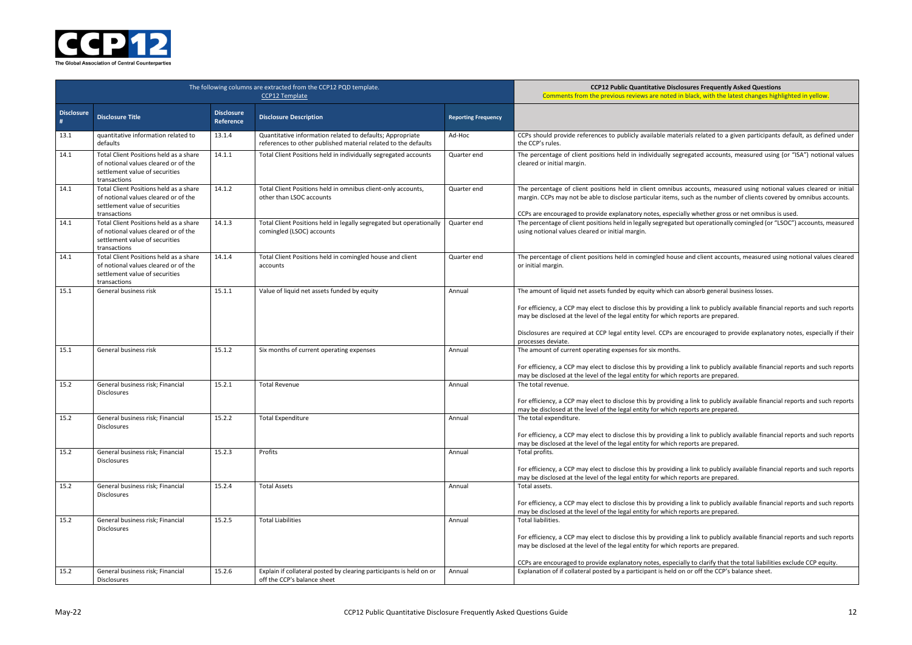**COPER Bubbis Bubbis** Sures Frequently Asked Questions black, with the latest changes highlighted in yellow.

als related to a given participants default, as defined under

egated accounts, measured using (or "ISA") notional values

accounts, measured using notional values cleared or initial ach as the number of clients covered by omnibus accounts.

ly whether gross or net omnibus is used. but operationally comingled (or "LSOC") accounts, measured

and client accounts, measured using notional values cleared

absorb general business losses.

a link to publicly available financial reports and such reports ports are prepared.

encouraged to provide explanatory notes, especially if their

a link to publicly available financial reports and such reports ports are prepared.

a link to publicly available financial reports and such reports ports are prepared.

a link to publicly available financial reports and such reports ports are prepared.

a link to publicly available financial reports and such reports ports are prepared.

a link to publicly available financial reports and such reports ports are prepared.

a link to publicly available financial reports and such reports ports are prepared.

ly to clarify that the total liabilities exclude CCP equity. or off the CCP's balance sheet.



|                        | The following columns are extracted from the CCP12 PQD template.                                                                 | <b>CCP12 Public Quantitative Disclos</b><br>Comments from the previous reviews are noted in I |                                                                                                                             |                            |                                                                                                                                                                                                                                                                    |
|------------------------|----------------------------------------------------------------------------------------------------------------------------------|-----------------------------------------------------------------------------------------------|-----------------------------------------------------------------------------------------------------------------------------|----------------------------|--------------------------------------------------------------------------------------------------------------------------------------------------------------------------------------------------------------------------------------------------------------------|
| <b>Disclosure</b><br># | <b>Disclosure Title</b>                                                                                                          | <b>Disclosure</b><br>Reference                                                                | <b>Disclosure Description</b>                                                                                               | <b>Reporting Frequency</b> |                                                                                                                                                                                                                                                                    |
| 13.1                   | quantitative information related to<br>defaults                                                                                  | 13.1.4                                                                                        | Quantitative information related to defaults; Appropriate<br>references to other published material related to the defaults | Ad-Hoc                     | CCPs should provide references to publicly available materia<br>the CCP's rules.                                                                                                                                                                                   |
| 14.1                   | Total Client Positions held as a share<br>of notional values cleared or of the<br>settlement value of securities<br>transactions | 14.1.1                                                                                        | Total Client Positions held in individually segregated accounts                                                             | Quarter end                | The percentage of client positions held in individually segre<br>cleared or initial margin.                                                                                                                                                                        |
| 14.1                   | Total Client Positions held as a share<br>of notional values cleared or of the<br>settlement value of securities<br>transactions | 14.1.2                                                                                        | Total Client Positions held in omnibus client-only accounts,<br>other than LSOC accounts                                    | Quarter end                | The percentage of client positions held in client omnibus a<br>margin. CCPs may not be able to disclose particular items, su<br>CCPs are encouraged to provide explanatory notes, especiall                                                                        |
| 14.1                   | Total Client Positions held as a share<br>of notional values cleared or of the<br>settlement value of securities<br>transactions | 14.1.3                                                                                        | Total Client Positions held in legally segregated but operationally<br>comingled (LSOC) accounts                            | Quarter end                | The percentage of client positions held in legally segregated I<br>using notional values cleared or initial margin.                                                                                                                                                |
| 14.1                   | Total Client Positions held as a share<br>of notional values cleared or of the<br>settlement value of securities<br>transactions | 14.1.4                                                                                        | Total Client Positions held in comingled house and client<br>accounts                                                       | Quarter end                | The percentage of client positions held in comingled house a<br>or initial margin.                                                                                                                                                                                 |
| 15.1                   | General business risk                                                                                                            | 15.1.1                                                                                        | Value of liquid net assets funded by equity                                                                                 | Annual                     | The amount of liquid net assets funded by equity which can<br>For efficiency, a CCP may elect to disclose this by providing a<br>may be disclosed at the level of the legal entity for which rep<br>Disclosures are required at CCP legal entity level. CCPs are a |
| 15.1                   | General business risk                                                                                                            | 15.1.2                                                                                        | Six months of current operating expenses                                                                                    | Annual                     | processes deviate.<br>The amount of current operating expenses for six months.<br>For efficiency, a CCP may elect to disclose this by providing a                                                                                                                  |
| 15.2                   | General business risk; Financial<br><b>Disclosures</b>                                                                           | 15.2.1                                                                                        | <b>Total Revenue</b>                                                                                                        | Annual                     | may be disclosed at the level of the legal entity for which rep<br>The total revenue.<br>For efficiency, a CCP may elect to disclose this by providing a<br>may be disclosed at the level of the legal entity for which rep                                        |
| 15.2                   | General business risk; Financial<br><b>Disclosures</b>                                                                           | 15.2.2                                                                                        | <b>Total Expenditure</b>                                                                                                    | Annual                     | The total expenditure.<br>For efficiency, a CCP may elect to disclose this by providing a<br>may be disclosed at the level of the legal entity for which rep                                                                                                       |
| 15.2                   | General business risk; Financial<br>Disclosures                                                                                  | 15.2.3                                                                                        | Profits                                                                                                                     | Annual                     | Total profits.<br>For efficiency, a CCP may elect to disclose this by providing a<br>may be disclosed at the level of the legal entity for which rep                                                                                                               |
| 15.2                   | General business risk; Financial<br><b>Disclosures</b>                                                                           | 15.2.4                                                                                        | <b>Total Assets</b>                                                                                                         | Annual                     | Total assets.<br>For efficiency, a CCP may elect to disclose this by providing a<br>may be disclosed at the level of the legal entity for which rep                                                                                                                |
| 15.2                   | General business risk; Financial<br><b>Disclosures</b>                                                                           | 15.2.5                                                                                        | <b>Total Liabilities</b>                                                                                                    | Annual                     | Total liabilities.<br>For efficiency, a CCP may elect to disclose this by providing a<br>may be disclosed at the level of the legal entity for which rep<br>CCPs are encouraged to provide explanatory notes, especiall                                            |
| 15.2                   | General business risk; Financial<br>Disclosures                                                                                  | 15.2.6                                                                                        | Explain if collateral posted by clearing participants is held on or<br>off the CCP's balance sheet                          | Annual                     | Explanation of if collateral posted by a participant is held on                                                                                                                                                                                                    |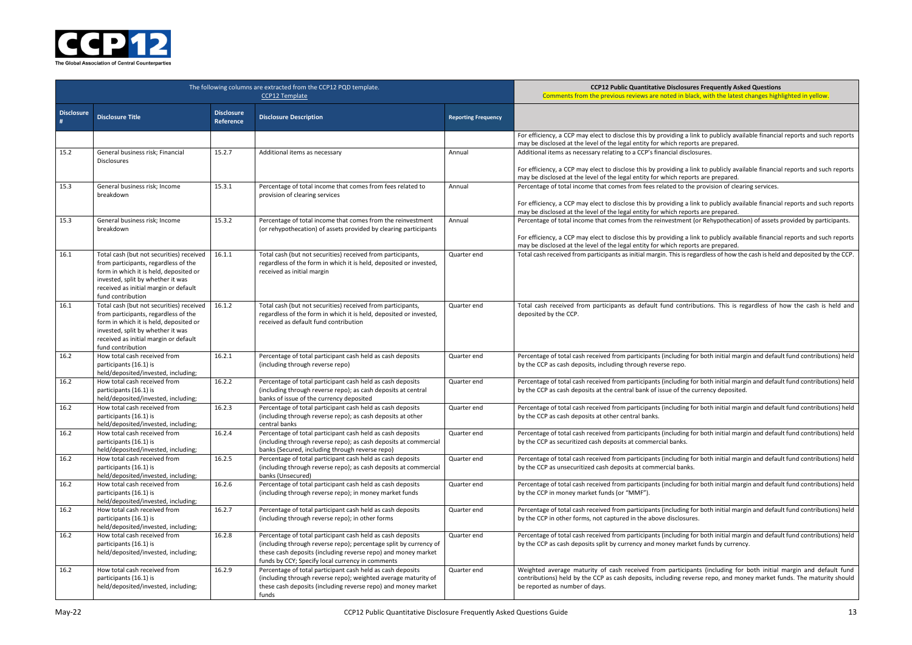

|                   | The following columns are extracted from the CCP12 PQD template.                                                                                                                                                              | <b>CCP12 Public Quantitative Disclosures Freq</b><br>Comments from the previous reviews are noted in black, wit |                                                                                                                                                                                                                                                      |                            |                                                                                                                                                                                                                                                                                                                     |
|-------------------|-------------------------------------------------------------------------------------------------------------------------------------------------------------------------------------------------------------------------------|-----------------------------------------------------------------------------------------------------------------|------------------------------------------------------------------------------------------------------------------------------------------------------------------------------------------------------------------------------------------------------|----------------------------|---------------------------------------------------------------------------------------------------------------------------------------------------------------------------------------------------------------------------------------------------------------------------------------------------------------------|
| <b>Disclosure</b> | <b>Disclosure Title</b>                                                                                                                                                                                                       | <b>Disclosure</b><br><b>Reference</b>                                                                           | <b>Disclosure Description</b>                                                                                                                                                                                                                        | <b>Reporting Frequency</b> |                                                                                                                                                                                                                                                                                                                     |
|                   |                                                                                                                                                                                                                               |                                                                                                                 |                                                                                                                                                                                                                                                      |                            | For efficiency, a CCP may elect to disclose this by providing a link to p<br>may be disclosed at the level of the legal entity for which reports are p                                                                                                                                                              |
| 15.2              | General business risk; Financial<br><b>Disclosures</b>                                                                                                                                                                        | 15.2.7                                                                                                          | Additional items as necessary                                                                                                                                                                                                                        | Annual                     | Additional items as necessary relating to a CCP's financial disclosures.<br>For efficiency, a CCP may elect to disclose this by providing a link to p                                                                                                                                                               |
| 15.3              | General business risk; Income<br>breakdown                                                                                                                                                                                    | 15.3.1                                                                                                          | Percentage of total income that comes from fees related to<br>provision of clearing services                                                                                                                                                         | Annual                     | may be disclosed at the level of the legal entity for which reports are p<br>Percentage of total income that comes from fees related to the provis<br>For efficiency, a CCP may elect to disclose this by providing a link to p<br>may be disclosed at the level of the legal entity for which reports are port are |
| 15.3              | General business risk; Income<br>breakdown                                                                                                                                                                                    | 15.3.2                                                                                                          | Percentage of total income that comes from the reinvestment<br>(or rehypothecation) of assets provided by clearing participants                                                                                                                      | Annual                     | Percentage of total income that comes from the reinvestment (or Reh<br>For efficiency, a CCP may elect to disclose this by providing a link to p<br>may be disclosed at the level of the legal entity for which reports are port are                                                                                |
| 16.1              | Total cash (but not securities) received<br>from participants, regardless of the<br>form in which it is held, deposited or<br>invested, split by whether it was<br>received as initial margin or default<br>fund contribution | 16.1.1                                                                                                          | Total cash (but not securities) received from participants,<br>regardless of the form in which it is held, deposited or invested,<br>received as initial margin                                                                                      | Quarter end                | Total cash received from participants as initial margin. This is regardles                                                                                                                                                                                                                                          |
| 16.1              | Total cash (but not securities) received<br>from participants, regardless of the<br>form in which it is held, deposited or<br>invested, split by whether it was<br>received as initial margin or default<br>fund contribution | 16.1.2                                                                                                          | Total cash (but not securities) received from participants,<br>regardless of the form in which it is held, deposited or invested,<br>received as default fund contribution                                                                           | Quarter end                | Total cash received from participants as default fund contributions<br>deposited by the CCP.                                                                                                                                                                                                                        |
| 16.2              | How total cash received from<br>participants (16.1) is<br>held/deposited/invested, including;                                                                                                                                 | 16.2.1                                                                                                          | Percentage of total participant cash held as cash deposits<br>(including through reverse repo)                                                                                                                                                       | Quarter end                | Percentage of total cash received from participants (including for both<br>by the CCP as cash deposits, including through reverse repo.                                                                                                                                                                             |
| 16.2              | How total cash received from<br>participants (16.1) is<br>held/deposited/invested, including;                                                                                                                                 | 16.2.2                                                                                                          | Percentage of total participant cash held as cash deposits<br>(including through reverse repo); as cash deposits at central<br>banks of issue of the currency deposited                                                                              | Quarter end                | Percentage of total cash received from participants (including for both<br>by the CCP as cash deposits at the central bank of issue of the currenc                                                                                                                                                                  |
| 16.2              | How total cash received from<br>participants (16.1) is<br>held/deposited/invested, including;                                                                                                                                 | 16.2.3                                                                                                          | Percentage of total participant cash held as cash deposits<br>(including through reverse repo); as cash deposits at other<br>central banks                                                                                                           | Quarter end                | Percentage of total cash received from participants (including for both<br>by the CCP as cash deposits at other central banks.                                                                                                                                                                                      |
| 16.2              | How total cash received from<br>participants (16.1) is<br>held/deposited/invested, including;                                                                                                                                 | 16.2.4                                                                                                          | Percentage of total participant cash held as cash deposits<br>(including through reverse repo); as cash deposits at commercial<br>banks (Secured, including through reverse repo)                                                                    | Quarter end                | Percentage of total cash received from participants (including for both<br>by the CCP as securitized cash deposits at commercial banks.                                                                                                                                                                             |
| 16.2              | How total cash received from<br>participants (16.1) is<br>held/deposited/invested, including;                                                                                                                                 | 16.2.5                                                                                                          | Percentage of total participant cash held as cash deposits<br>(including through reverse repo); as cash deposits at commercial<br>banks (Unsecured)                                                                                                  | Quarter end                | Percentage of total cash received from participants (including for both<br>by the CCP as unsecuritized cash deposits at commercial banks.                                                                                                                                                                           |
| 16.2              | How total cash received from<br>participants (16.1) is<br>held/deposited/invested, including;                                                                                                                                 | 16.2.6                                                                                                          | Percentage of total participant cash held as cash deposits<br>(including through reverse repo); in money market funds                                                                                                                                | Quarter end                | Percentage of total cash received from participants (including for both<br>by the CCP in money market funds (or "MMF").                                                                                                                                                                                             |
| 16.2              | How total cash received from<br>participants (16.1) is<br>held/deposited/invested, including;                                                                                                                                 | 16.2.7                                                                                                          | Percentage of total participant cash held as cash deposits<br>(including through reverse repo); in other forms                                                                                                                                       | Quarter end                | Percentage of total cash received from participants (including for both<br>by the CCP in other forms, not captured in the above disclosures.                                                                                                                                                                        |
| 16.2              | How total cash received from<br>participants (16.1) is<br>held/deposited/invested, including;                                                                                                                                 | 16.2.8                                                                                                          | Percentage of total participant cash held as cash deposits<br>(including through reverse repo); percentage split by currency of<br>these cash deposits (including reverse repo) and money market<br>funds by CCY; Specify local currency in comments | Quarter end                | Percentage of total cash received from participants (including for both<br>by the CCP as cash deposits split by currency and money market funds                                                                                                                                                                     |
| 16.2              | How total cash received from<br>participants (16.1) is<br>held/deposited/invested, including;                                                                                                                                 | 16.2.9                                                                                                          | Percentage of total participant cash held as cash deposits<br>(including through reverse repo); weighted average maturity of<br>these cash deposits (including reverse repo) and money market<br>funds                                               | Quarter end                | Weighted average maturity of cash received from participants (in<br>contributions) held by the CCP as cash deposits, including reverse rep<br>be reported as number of days.                                                                                                                                        |

#### **COPER BIG Products** Bures Frequently Asked Questions black, with the latest changes highlighted in yellow.

a link to publicly available financial reports and such reports ports are prepared.

a link to publicly available financial reports and such reports ports are prepared.

the provision of clearing services.

a link to publicly available financial reports and such reports ports are prepared.

nt (or Rehypothecation) of assets provided by participants.

a link to publicly available financial reports and such reports ports are prepared.

regardless of how the cash is held and deposited by the CCP.

tributions. This is regardless of how the cash is held and

g for both initial margin and default fund contributions) held

g for both initial margin and default fund contributions) held be currency deposited.

g for both initial margin and default fund contributions) held

og for both initial margin and default fund contributions) held

g for both initial margin and default fund contributions) held

g for both initial margin and default fund contributions) held

Ig for both initial margin and default fund contributions) held

g for both initial margin and default fund contributions) held rket funds by currency.

ipants (including for both initial margin and default fund everse repo, and money market funds. The maturity should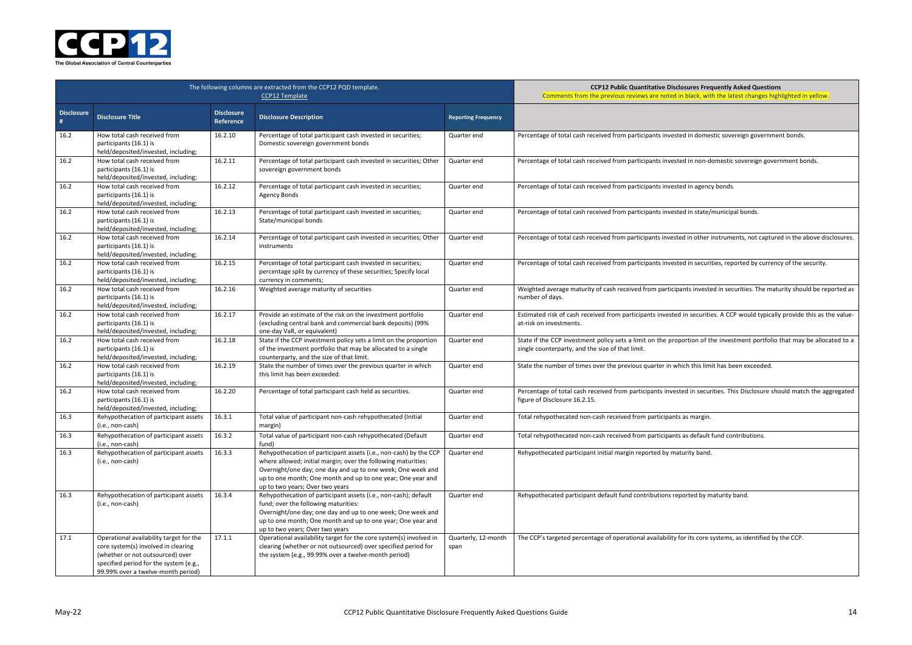**COPER Bubbis Prequently Asked Questions** black, with the latest changes highlighted in yellow.

I in domestic sovereign government bonds.

I in non-domestic sovereign government bonds.

I in agency bonds.

I in state/municipal bonds.

in other instruments, not captured in the above disclosures.

I in securities, reported by currency of the security.

nts invested in securities. The maturity should be reported as

n securities. A CCP would typically provide this as the value-

rtion of the investment portfolio that may be allocated to a

th this limit has been exceeded.

d in securities. This Disclosure should match the aggregated

s default fund contributions.

rted by maturity band.

its core systems, as identified by the CCP.



|                   | The following columns are extracted from the CCP12 PQD template.                                                                                                                                   | <b>CCP12 Public Quantitative Disclosures Freq</b><br>Comments from the previous reviews are noted in black, witl |                                                                                                                                                                                                                                                                                                     |                             |                                                                                                                              |
|-------------------|----------------------------------------------------------------------------------------------------------------------------------------------------------------------------------------------------|------------------------------------------------------------------------------------------------------------------|-----------------------------------------------------------------------------------------------------------------------------------------------------------------------------------------------------------------------------------------------------------------------------------------------------|-----------------------------|------------------------------------------------------------------------------------------------------------------------------|
| <b>Disclosure</b> | <b>Disclosure Title</b>                                                                                                                                                                            | <b>Disclosure</b><br>Reference                                                                                   | <b>Disclosure Description</b>                                                                                                                                                                                                                                                                       | <b>Reporting Frequency</b>  |                                                                                                                              |
| 16.2              | How total cash received from<br>participants (16.1) is<br>held/deposited/invested, including;                                                                                                      | 16.2.10                                                                                                          | Percentage of total participant cash invested in securities;<br>Domestic sovereign government bonds                                                                                                                                                                                                 | Quarter end                 | Percentage of total cash received from participants invested in domes                                                        |
| 16.2              | How total cash received from<br>participants (16.1) is<br>held/deposited/invested, including;                                                                                                      | 16.2.11                                                                                                          | Percentage of total participant cash invested in securities; Other<br>sovereign government bonds                                                                                                                                                                                                    | Quarter end                 | Percentage of total cash received from participants invested in non-do                                                       |
| 16.2              | How total cash received from<br>participants (16.1) is<br>held/deposited/invested, including;                                                                                                      | 16.2.12                                                                                                          | Percentage of total participant cash invested in securities;<br><b>Agency Bonds</b>                                                                                                                                                                                                                 | Quarter end                 | Percentage of total cash received from participants invested in agency                                                       |
| 16.2              | How total cash received from<br>participants (16.1) is<br>held/deposited/invested, including;                                                                                                      | 16.2.13                                                                                                          | Percentage of total participant cash invested in securities;<br>State/municipal bonds                                                                                                                                                                                                               | Quarter end                 | Percentage of total cash received from participants invested in state/r                                                      |
| 16.2              | How total cash received from<br>participants (16.1) is<br>held/deposited/invested, including;                                                                                                      | 16.2.14                                                                                                          | Percentage of total participant cash invested in securities; Other<br>instruments                                                                                                                                                                                                                   | Quarter end                 | Percentage of total cash received from participants invested in other i                                                      |
| 16.2              | How total cash received from<br>participants (16.1) is<br>held/deposited/invested, including;                                                                                                      | 16.2.15                                                                                                          | Percentage of total participant cash invested in securities;<br>percentage split by currency of these securities; Specify local<br>currency in comments;                                                                                                                                            | Quarter end                 | Percentage of total cash received from participants invested in securit                                                      |
| 16.2              | How total cash received from<br>participants (16.1) is<br>held/deposited/invested, including;                                                                                                      | 16.2.16                                                                                                          | Weighted average maturity of securities                                                                                                                                                                                                                                                             | Quarter end                 | Weighted average maturity of cash received from participants investe<br>number of days.                                      |
| 16.2              | How total cash received from<br>participants (16.1) is<br>held/deposited/invested, including;                                                                                                      | 16.2.17                                                                                                          | Provide an estimate of the risk on the investment portfolio<br>(excluding central bank and commercial bank deposits) (99%<br>one-day VaR, or equivalent)                                                                                                                                            | Quarter end                 | Estimated risk of cash received from participants invested in securitie<br>at-risk on investments.                           |
| 16.2              | How total cash received from<br>participants (16.1) is<br>held/deposited/invested, including;                                                                                                      | 16.2.18                                                                                                          | State if the CCP investment policy sets a limit on the proportion<br>of the investment portfolio that may be allocated to a single<br>counterparty, and the size of that limit.                                                                                                                     | Quarter end                 | State if the CCP investment policy sets a limit on the proportion of the<br>single counterparty, and the size of that limit. |
| 16.2              | How total cash received from<br>participants (16.1) is<br>held/deposited/invested, including;                                                                                                      | 16.2.19                                                                                                          | State the number of times over the previous quarter in which<br>this limit has been exceeded.                                                                                                                                                                                                       | Quarter end                 | State the number of times over the previous quarter in which this limi                                                       |
| 16.2              | How total cash received from<br>participants (16.1) is<br>held/deposited/invested, including;                                                                                                      | 16.2.20                                                                                                          | Percentage of total participant cash held as securities.                                                                                                                                                                                                                                            | Quarter end                 | Percentage of total cash received from participants invested in secur<br>figure of Disclosure 16.2.15.                       |
| 16.3              | Rehypothecation of participant assets<br>(i.e., non-cash)                                                                                                                                          | 16.3.1                                                                                                           | Total value of participant non-cash rehypothecated (Initial<br>margin)                                                                                                                                                                                                                              | Quarter end                 | Total rehypothecated non-cash received from participants as margin.                                                          |
| 16.3              | Rehypothecation of participant assets<br>(i.e., non-cash)                                                                                                                                          | 16.3.2                                                                                                           | Total value of participant non-cash rehypothecated (Default<br>fund)                                                                                                                                                                                                                                | Quarter end                 | Total rehypothecated non-cash received from participants as default f                                                        |
| 16.3              | Rehypothecation of participant assets<br>(i.e., non-cash)                                                                                                                                          | 16.3.3                                                                                                           | Rehypothecation of participant assets (i.e., non-cash) by the CCP<br>where allowed; initial margin; over the following maturities:<br>Overnight/one day; one day and up to one week; One week and<br>up to one month; One month and up to one year; One year and<br>up to two years; Over two years | Quarter end                 | Rehypothecated participant initial margin reported by maturity band.                                                         |
| 16.3              | Rehypothecation of participant assets<br>(i.e., non-cash)                                                                                                                                          | 16.3.4                                                                                                           | Rehypothecation of participant assets (i.e., non-cash); default<br>fund; over the following maturities:<br>Overnight/one day; one day and up to one week; One week and<br>up to one month; One month and up to one year; One year and<br>up to two years; Over two years                            | Quarter end                 | Rehypothecated participant default fund contributions reported by m                                                          |
| 17.1              | Operational availability target for the<br>core system(s) involved in clearing<br>(whether or not outsourced) over<br>specified period for the system (e.g.,<br>99.99% over a twelve-month period) | 17.1.1                                                                                                           | Operational availability target for the core system(s) involved in<br>clearing (whether or not outsourced) over specified period for<br>the system (e.g., 99.99% over a twelve-month period)                                                                                                        | Quarterly, 12-month<br>span | The CCP's targeted percentage of operational availability for its core s                                                     |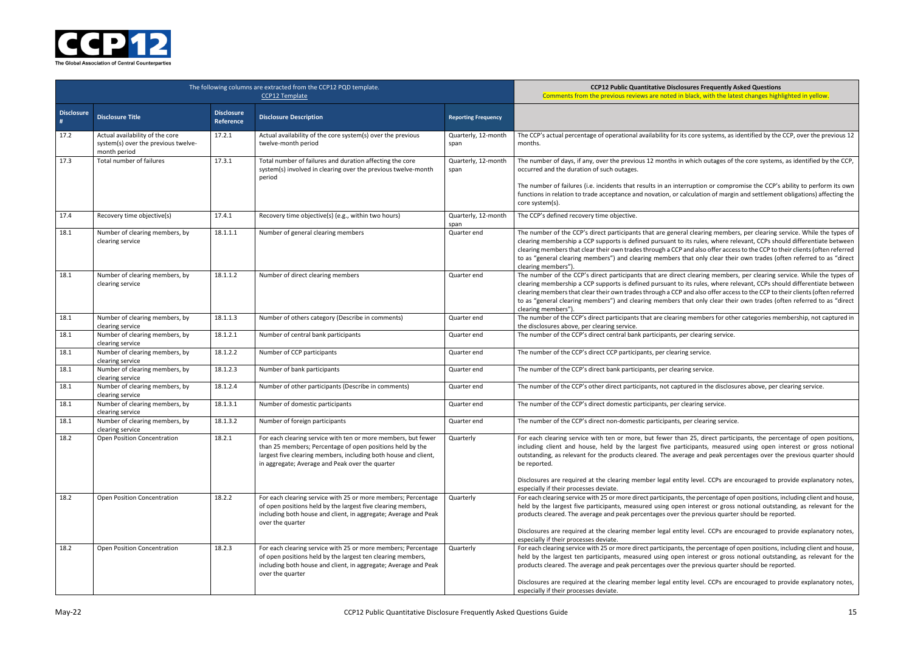**COPER BIG Productly Asked Questions** black, with the latest changes highlighted in yellow.

If core systems, as identified by the CCP, over the previous 12

which outages of the core systems, as identified by the CCP,

rruption or compromise the CCP's ability to perform its own ilculation of margin and settlement obligations) affecting the

I clearing members, per clearing service. While the types of its rules, where relevant, CCPs should differentiate between and also offer access to the CCP to their clients (often referred hat only clear their own trades (often referred to as "direct

clearing members, per clearing service. While the types of its rules, where relevant, CCPs should differentiate between also offer access to the CCP to their clients (often referred hat only clear their own trades (often referred to as "direct

members for other categories membership, not captured in

Inted in the disclosures above, per clearing service.

125, direct participants, the percentage of open positions, icipants, measured using open interest or gross notional age and peak percentages over the previous quarter should

y level. CCPs are encouraged to provide explanatory notes,

the percentage of open positions, including client and house, interest or gross notional outstanding, as relevant for the ne previous quarter should be reported.

y level. CCPs are encouraged to provide explanatory notes,

the percentage of open positions, including client and house, interest or gross notional outstanding, as relevant for the ne previous quarter should be reported.

y level. CCPs are encouraged to provide explanatory notes,



|                        | The following columns are extracted from the CCP12 PQD template.                       | <b>CCP12 Public Quantitative Disclosures Frequently As</b><br>Comments from the previous reviews are noted in black, with the late |                                                                                                                                                                                                                                                  |                             |                                                                                                                                                                                                                                                                                                                                                                                                                            |
|------------------------|----------------------------------------------------------------------------------------|------------------------------------------------------------------------------------------------------------------------------------|--------------------------------------------------------------------------------------------------------------------------------------------------------------------------------------------------------------------------------------------------|-----------------------------|----------------------------------------------------------------------------------------------------------------------------------------------------------------------------------------------------------------------------------------------------------------------------------------------------------------------------------------------------------------------------------------------------------------------------|
| <b>Disclosure</b><br># | <b>Disclosure Title</b>                                                                | <b>Disclosure</b><br>Reference                                                                                                     | <b>Disclosure Description</b>                                                                                                                                                                                                                    | <b>Reporting Frequency</b>  |                                                                                                                                                                                                                                                                                                                                                                                                                            |
| 17.2                   | Actual availability of the core<br>system(s) over the previous twelve-<br>month period | 17.2.1                                                                                                                             | Actual availability of the core system(s) over the previous<br>twelve-month period                                                                                                                                                               | Quarterly, 12-month<br>span | The CCP's actual percentage of operational availability for its core systems, as id<br>months.                                                                                                                                                                                                                                                                                                                             |
| 17.3                   | Total number of failures                                                               | 17.3.1                                                                                                                             | Total number of failures and duration affecting the core<br>system(s) involved in clearing over the previous twelve-month<br>period                                                                                                              | Quarterly, 12-month<br>span | The number of days, if any, over the previous 12 months in which outages of tl<br>occurred and the duration of such outages.<br>The number of failures (i.e. incidents that results in an interruption or compro<br>functions in relation to trade acceptance and novation, or calculation of margin<br>core system(s).                                                                                                    |
| 17.4                   | Recovery time objective(s)                                                             | 17.4.1                                                                                                                             | Recovery time objective(s) (e.g., within two hours)                                                                                                                                                                                              | Quarterly, 12-month<br>span | The CCP's defined recovery time objective.                                                                                                                                                                                                                                                                                                                                                                                 |
| 18.1                   | Number of clearing members, by<br>clearing service                                     | 18.1.1.1                                                                                                                           | Number of general clearing members                                                                                                                                                                                                               | Quarter end                 | The number of the CCP's direct participants that are general clearing members<br>clearing membership a CCP supports is defined pursuant to its rules, where rel-<br>clearing members that clear their own trades through a CCP and also offer acces<br>to as "general clearing members") and clearing members that only clear their<br>clearing members").                                                                 |
| 18.1                   | Number of clearing members, by<br>clearing service                                     | 18.1.1.2                                                                                                                           | Number of direct clearing members                                                                                                                                                                                                                | Quarter end                 | The number of the CCP's direct participants that are direct clearing members<br>clearing membership a CCP supports is defined pursuant to its rules, where rel-<br>clearing members that clear their own trades through a CCP and also offer acces<br>to as "general clearing members") and clearing members that only clear their<br>clearing members").                                                                  |
| 18.1                   | Number of clearing members, by<br>clearing service                                     | 18.1.1.3                                                                                                                           | Number of others category (Describe in comments)                                                                                                                                                                                                 | Quarter end                 | The number of the CCP's direct participants that are clearing members for othe<br>the disclosures above, per clearing service.                                                                                                                                                                                                                                                                                             |
| 18.1                   | Number of clearing members, by<br>clearing service                                     | 18.1.2.1                                                                                                                           | Number of central bank participants                                                                                                                                                                                                              | Quarter end                 | The number of the CCP's direct central bank participants, per clearing service.                                                                                                                                                                                                                                                                                                                                            |
| 18.1                   | Number of clearing members, by<br>clearing service                                     | 18.1.2.2                                                                                                                           | Number of CCP participants                                                                                                                                                                                                                       | Quarter end                 | The number of the CCP's direct CCP participants, per clearing service.                                                                                                                                                                                                                                                                                                                                                     |
| 18.1                   | Number of clearing members, by<br>clearing service                                     | 18.1.2.3                                                                                                                           | Number of bank participants                                                                                                                                                                                                                      | Quarter end                 | The number of the CCP's direct bank participants, per clearing service.                                                                                                                                                                                                                                                                                                                                                    |
| 18.1                   | Number of clearing members, by<br>clearing service                                     | 18.1.2.4                                                                                                                           | Number of other participants (Describe in comments)                                                                                                                                                                                              | Quarter end                 | The number of the CCP's other direct participants, not captured in the disclosu                                                                                                                                                                                                                                                                                                                                            |
| 18.1                   | Number of clearing members, by<br>clearing service                                     | 18.1.3.1                                                                                                                           | Number of domestic participants                                                                                                                                                                                                                  | Quarter end                 | The number of the CCP's direct domestic participants, per clearing service.                                                                                                                                                                                                                                                                                                                                                |
| 18.1                   | Number of clearing members, by<br>clearing service                                     | 18.1.3.2                                                                                                                           | Number of foreign participants                                                                                                                                                                                                                   | Quarter end                 | The number of the CCP's direct non-domestic participants, per clearing service.                                                                                                                                                                                                                                                                                                                                            |
| 18.2                   | <b>Open Position Concentration</b>                                                     | 18.2.1                                                                                                                             | For each clearing service with ten or more members, but fewer<br>than 25 members; Percentage of open positions held by the<br>largest five clearing members, including both house and client,<br>in aggregate; Average and Peak over the quarter | Quarterly                   | For each clearing service with ten or more, but fewer than 25, direct partici<br>including client and house, held by the largest five participants, measured<br>outstanding, as relevant for the products cleared. The average and peak perce<br>be reported.<br>Disclosures are required at the clearing member legal entity level. CCPs are e                                                                            |
| 18.2                   | Open Position Concentration                                                            | 18.2.2                                                                                                                             | For each clearing service with 25 or more members; Percentage<br>of open positions held by the largest five clearing members,<br>including both house and client, in aggregate; Average and Peak<br>over the quarter                             | Quarterly                   | especially if their processes deviate.<br>For each clearing service with 25 or more direct participants, the percentage of o<br>held by the largest five participants, measured using open interest or gross i<br>products cleared. The average and peak percentages over the previous quarter<br>Disclosures are required at the clearing member legal entity level. CCPs are e<br>especially if their processes deviate. |
| 18.2                   | <b>Open Position Concentration</b>                                                     | 18.2.3                                                                                                                             | For each clearing service with 25 or more members; Percentage<br>of open positions held by the largest ten clearing members,<br>including both house and client, in aggregate; Average and Peak<br>over the quarter                              | Quarterly                   | For each clearing service with 25 or more direct participants, the percentage of o<br>held by the largest ten participants, measured using open interest or gross i<br>products cleared. The average and peak percentages over the previous quarter<br>Disclosures are required at the clearing member legal entity level. CCPs are e<br>especially if their processes deviate.                                            |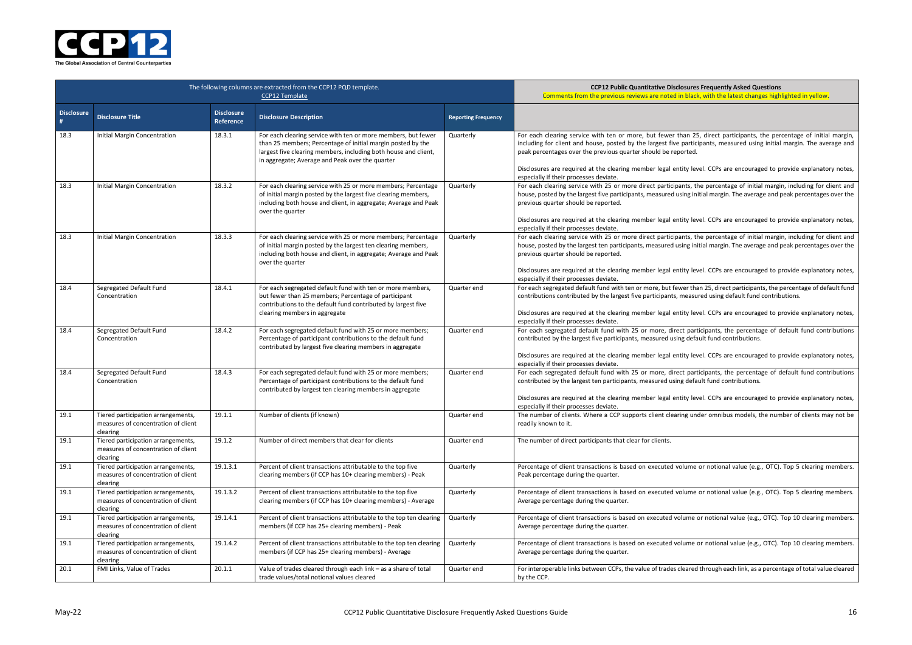**Sures Frequently Asked Questions** black, with the latest changes highlighted in yellow.

an 25, direct participants, the percentage of initial margin, articipants, measured using initial margin. The average and

ty level. CCPs are encouraged to provide explanatory notes,

ts, the percentage of initial margin, including for client and ng initial margin. The average and peak percentages over the

ty level. CCPs are encouraged to provide explanatory notes,

ts, the percentage of initial margin, including for client and ng initial margin. The average and peak percentages over the

ty level. CCPs are encouraged to provide explanatory notes,

er than 25, direct participants, the percentage of default fund easured using default fund contributions.

ty level. CCPs are encouraged to provide explanatory notes,

participants, the percentage of default fund contributions default fund contributions.

ty level. CCPs are encouraged to provide explanatory notes,

participants, the percentage of default fund contributions de fault fund contributions.

ty level. CCPs are encouraged to provide explanatory notes,

g under omnibus models, the number of clients may not be

ame or notional value (e.g., OTC). Top 5 clearing members.

ame or notional value (e.g., OTC). Top 5 clearing members.

me or notional value (e.g., OTC). Top 10 clearing members.

me or notional value (e.g., OTC). Top 10 clearing members.

ared through each link, as a percentage of total value cleared



|                        | The following columns are extracted from the CCP12 PQD template.                      | <b>CCP12 Public Quantitative Disclosure:</b><br>Comments from the previous reviews are noted in blac |                                                                                                                                                                                                                                                    |                            |                                                                                                                                                                                                                                                                                                |
|------------------------|---------------------------------------------------------------------------------------|------------------------------------------------------------------------------------------------------|----------------------------------------------------------------------------------------------------------------------------------------------------------------------------------------------------------------------------------------------------|----------------------------|------------------------------------------------------------------------------------------------------------------------------------------------------------------------------------------------------------------------------------------------------------------------------------------------|
| <b>Disclosure</b><br># | <b>Disclosure Title</b>                                                               | <b>Disclosure</b><br>Reference                                                                       | <b>Disclosure Description</b>                                                                                                                                                                                                                      | <b>Reporting Frequency</b> |                                                                                                                                                                                                                                                                                                |
| 18.3                   | Initial Margin Concentration                                                          | 18.3.1                                                                                               | For each clearing service with ten or more members, but fewer<br>than 25 members; Percentage of initial margin posted by the<br>largest five clearing members, including both house and client,<br>in aggregate; Average and Peak over the quarter | Quarterly                  | For each clearing service with ten or more, but fewer than 2!<br>including for client and house, posted by the largest five partic<br>peak percentages over the previous quarter should be reported.<br>Disclosures are required at the clearing member legal entity leven                     |
| 18.3                   | Initial Margin Concentration                                                          | 18.3.2                                                                                               | For each clearing service with 25 or more members; Percentage<br>of initial margin posted by the largest five clearing members,<br>including both house and client, in aggregate; Average and Peak<br>over the quarter                             | Quarterly                  | especially if their processes deviate.<br>For each clearing service with 25 or more direct participants, t<br>house, posted by the largest five participants, measured using in<br>previous quarter should be reported.<br>Disclosures are required at the clearing member legal entity lev    |
| 18.3                   | Initial Margin Concentration                                                          | 18.3.3                                                                                               | For each clearing service with 25 or more members; Percentage<br>of initial margin posted by the largest ten clearing members,<br>including both house and client, in aggregate; Average and Peak<br>over the quarter                              | Quarterly                  | especially if their processes deviate.<br>For each clearing service with 25 or more direct participants, t<br>house, posted by the largest ten participants, measured using in<br>previous quarter should be reported.<br>Disclosures are required at the clearing member legal entity let     |
| 18.4                   | Segregated Default Fund<br>Concentration                                              | 18.4.1                                                                                               | For each segregated default fund with ten or more members,<br>but fewer than 25 members; Percentage of participant<br>contributions to the default fund contributed by largest five<br>clearing members in aggregate                               | Quarter end                | especially if their processes deviate.<br>For each segregated default fund with ten or more, but fewer that<br>contributions contributed by the largest five participants, measu<br>Disclosures are required at the clearing member legal entity lev<br>especially if their processes deviate. |
| 18.4                   | Segregated Default Fund<br>Concentration                                              | 18.4.2                                                                                               | For each segregated default fund with 25 or more members;<br>Percentage of participant contributions to the default fund<br>contributed by largest five clearing members in aggregate                                                              | Quarter end                | For each segregated default fund with 25 or more, direct par<br>contributed by the largest five participants, measured using defa<br>Disclosures are required at the clearing member legal entity lev                                                                                          |
| 18.4                   | Segregated Default Fund<br>Concentration                                              | 18.4.3                                                                                               | For each segregated default fund with 25 or more members;<br>Percentage of participant contributions to the default fund<br>contributed by largest ten clearing members in aggregate                                                               | Quarter end                | especially if their processes deviate.<br>For each segregated default fund with 25 or more, direct par<br>contributed by the largest ten participants, measured using defa<br>Disclosures are required at the clearing member legal entity lev<br>especially if their processes deviate.       |
| 19.1                   | Tiered participation arrangements,<br>measures of concentration of client<br>clearing | 19.1.1                                                                                               | Number of clients (if known)                                                                                                                                                                                                                       | Quarter end                | The number of clients. Where a CCP supports client clearing un<br>readily known to it.                                                                                                                                                                                                         |
| 19.1                   | Tiered participation arrangements,<br>measures of concentration of client<br>clearing | 19.1.2                                                                                               | Number of direct members that clear for clients                                                                                                                                                                                                    | Quarter end                | The number of direct participants that clear for clients.                                                                                                                                                                                                                                      |
| 19.1                   | Tiered participation arrangements,<br>measures of concentration of client<br>clearing | 19.1.3.1                                                                                             | Percent of client transactions attributable to the top five<br>clearing members (if CCP has 10+ clearing members) - Peak                                                                                                                           | Quarterly                  | Percentage of client transactions is based on executed volume<br>Peak percentage during the quarter.                                                                                                                                                                                           |
| 19.1                   | Tiered participation arrangements,<br>measures of concentration of client<br>clearing | 19.1.3.2                                                                                             | Percent of client transactions attributable to the top five<br>clearing members (if CCP has 10+ clearing members) - Average                                                                                                                        | Quarterly                  | Percentage of client transactions is based on executed volume<br>Average percentage during the quarter.                                                                                                                                                                                        |
| 19.1                   | Tiered participation arrangements,<br>measures of concentration of client<br>clearing | 19.1.4.1                                                                                             | Percent of client transactions attributable to the top ten clearing<br>members (if CCP has 25+ clearing members) - Peak                                                                                                                            | Quarterly                  | Percentage of client transactions is based on executed volume<br>Average percentage during the quarter.                                                                                                                                                                                        |
| 19.1                   | Tiered participation arrangements,<br>measures of concentration of client<br>clearing | 19.1.4.2                                                                                             | Percent of client transactions attributable to the top ten clearing<br>members (if CCP has 25+ clearing members) - Average                                                                                                                         | Quarterly                  | Percentage of client transactions is based on executed volume<br>Average percentage during the quarter.                                                                                                                                                                                        |
| 20.1                   | FMI Links, Value of Trades                                                            | 20.1.1                                                                                               | Value of trades cleared through each link - as a share of total<br>trade values/total notional values cleared                                                                                                                                      | Quarter end                | For interoperable links between CCPs, the value of trades cleared<br>by the CCP.                                                                                                                                                                                                               |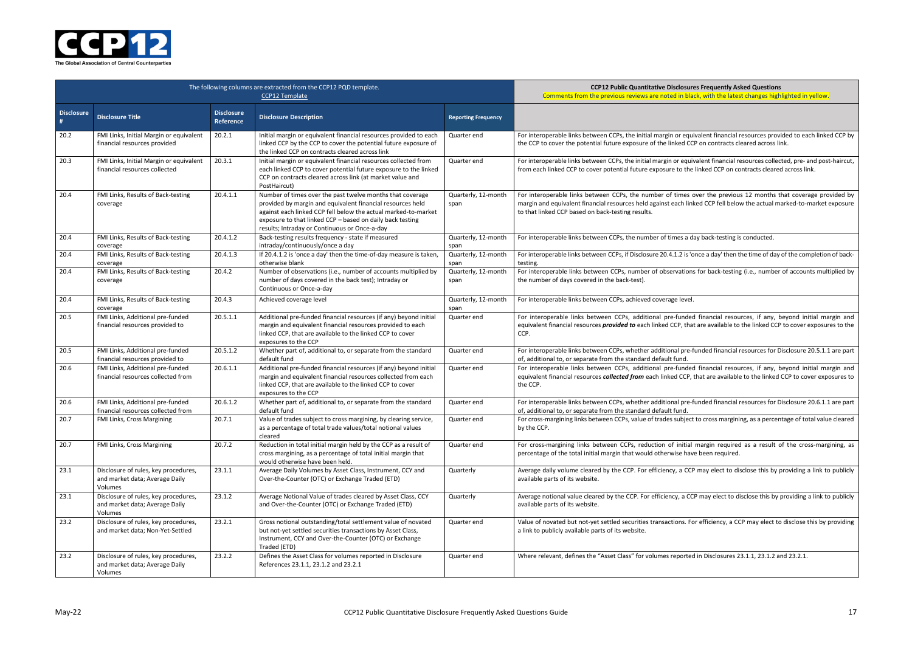ded financial resources, if any, beyond initial margin and equivalent financial resources *collected from* each linked CCP, that are available to the linked CCP to cover exposures to

re-funded financial resources for Disclosure 20.6.1.1 are part

ect to cross margining, as a percentage of total value cleared

ial margin required as a result of the cross-margining, as nave been required.

CCP may elect to disclose this by providing a link to publicly

CCP may elect to disclose this by providing a link to publicly

. For efficiency, a CCP may elect to disclose this by providing

ted in Disclosures  $23.1.1$ ,  $23.1.2$  and  $23.2.1$ .



|                        | The following columns are extracted from the CCP12 PQD template.                  | <b>CCP12 Public Quantitative Disclosure</b><br>Comments from the previous reviews are noted in bla |                                                                                                                                                                                                                                                                                                         |                             |                                                                                                                                                                                     |
|------------------------|-----------------------------------------------------------------------------------|----------------------------------------------------------------------------------------------------|---------------------------------------------------------------------------------------------------------------------------------------------------------------------------------------------------------------------------------------------------------------------------------------------------------|-----------------------------|-------------------------------------------------------------------------------------------------------------------------------------------------------------------------------------|
| <b>Disclosure</b><br># | <b>Disclosure Title</b>                                                           | <b>Disclosure</b><br>Reference                                                                     | <b>Disclosure Description</b>                                                                                                                                                                                                                                                                           | <b>Reporting Frequency</b>  |                                                                                                                                                                                     |
| 20.2                   | FMI Links, Initial Margin or equivalent<br>financial resources provided           | 20.2.1                                                                                             | Initial margin or equivalent financial resources provided to each<br>linked CCP by the CCP to cover the potential future exposure of<br>the linked CCP on contracts cleared across link                                                                                                                 | Quarter end                 | For interoperable links between CCPs, the initial margin or equ<br>the CCP to cover the potential future exposure of the linked CC                                                  |
| 20.3                   | FMI Links, Initial Margin or equivalent<br>financial resources collected          | 20.3.1                                                                                             | Initial margin or equivalent financial resources collected from<br>each linked CCP to cover potential future exposure to the linked<br>CCP on contracts cleared across link (at market value and<br>PostHaircut)                                                                                        | Quarter end                 | For interoperable links between CCPs, the initial margin or equit<br>from each linked CCP to cover potential future exposure to the                                                 |
| 20.4                   | FMI Links, Results of Back-testing<br>coverage                                    | 20.4.1.1                                                                                           | Number of times over the past twelve months that coverage<br>provided by margin and equivalent financial resources held<br>against each linked CCP fell below the actual marked-to-market<br>exposure to that linked CCP - based on daily back testing<br>results; Intraday or Continuous or Once-a-day | Quarterly, 12-month<br>span | For interoperable links between CCPs, the number of times o<br>margin and equivalent financial resources held against each lin<br>to that linked CCP based on back-testing results. |
| 20.4                   | FMI Links, Results of Back-testing<br>coverage                                    | 20.4.1.2                                                                                           | Back-testing results frequency - state if measured<br>intraday/continuously/once a day                                                                                                                                                                                                                  | Quarterly, 12-month<br>span | For interoperable links between CCPs, the number of times a d                                                                                                                       |
| 20.4                   | FMI Links, Results of Back-testing<br>coverage                                    | 20.4.1.3                                                                                           | If 20.4.1.2 is 'once a day' then the time-of-day measure is taken,<br>otherwise blank                                                                                                                                                                                                                   | Quarterly, 12-month<br>span | For interoperable links between CCPs, if Disclosure 20.4.1.2 is 'c<br>testing.                                                                                                      |
| 20.4                   | FMI Links, Results of Back-testing<br>coverage                                    | 20.4.2                                                                                             | Number of observations (i.e., number of accounts multiplied by<br>number of days covered in the back test); Intraday or<br>Continuous or Once-a-day                                                                                                                                                     | Quarterly, 12-month<br>span | For interoperable links between CCPs, number of observation<br>the number of days covered in the back-test).                                                                        |
| 20.4                   | FMI Links, Results of Back-testing<br>coverage                                    | 20.4.3                                                                                             | Achieved coverage level                                                                                                                                                                                                                                                                                 | Quarterly, 12-month<br>span | For interoperable links between CCPs, achieved coverage level.                                                                                                                      |
| 20.5                   | FMI Links, Additional pre-funded<br>financial resources provided to               | 20.5.1.1                                                                                           | Additional pre-funded financial resources (if any) beyond initial<br>margin and equivalent financial resources provided to each<br>linked CCP, that are available to the linked CCP to cover<br>exposures to the CCP                                                                                    | Quarter end                 | For interoperable links between CCPs, additional pre-funded<br>equivalent financial resources <i>provided to</i> each linked CCP, tha<br>CCP.                                       |
| 20.5                   | FMI Links, Additional pre-funded<br>financial resources provided to               | 20.5.1.2                                                                                           | Whether part of, additional to, or separate from the standard<br>default fund                                                                                                                                                                                                                           | Quarter end                 | For interoperable links between CCPs, whether additional pre-<br>of, additional to, or separate from the standard default fund.                                                     |
| 20.6                   | FMI Links, Additional pre-funded<br>financial resources collected from            | 20.6.1.1                                                                                           | Additional pre-funded financial resources (if any) beyond initial<br>margin and equivalent financial resources collected from each<br>linked CCP, that are available to the linked CCP to cover<br>exposures to the CCP                                                                                 | Quarter end                 | For interoperable links between CCPs, additional pre-funded<br>equivalent financial resources collected from each linked CCP,<br>the CCP.                                           |
| 20.6                   | FMI Links, Additional pre-funded<br>financial resources collected from            | 20.6.1.2                                                                                           | Whether part of, additional to, or separate from the standard<br>default fund                                                                                                                                                                                                                           | Quarter end                 | For interoperable links between CCPs, whether additional pre-<br>of, additional to, or separate from the standard default fund.                                                     |
| 20.7                   | FMI Links, Cross Margining                                                        | 20.7.1                                                                                             | Value of trades subject to cross margining, by clearing service,<br>as a percentage of total trade values/total notional values<br>cleared                                                                                                                                                              | Quarter end                 | For cross-margining links between CCPs, value of trades subject<br>by the CCP.                                                                                                      |
| 20.7                   | FMI Links, Cross Margining                                                        | 20.7.2                                                                                             | Reduction in total initial margin held by the CCP as a result of<br>cross margining, as a percentage of total initial margin that<br>would otherwise have been held.                                                                                                                                    | Quarter end                 | For cross-margining links between CCPs, reduction of initial<br>percentage of the total initial margin that would otherwise hav                                                     |
| 23.1                   | Disclosure of rules, key procedures,<br>and market data; Average Daily<br>Volumes | 23.1.1                                                                                             | Average Daily Volumes by Asset Class, Instrument, CCY and<br>Over-the-Counter (OTC) or Exchange Traded (ETD)                                                                                                                                                                                            | Quarterly                   | Average daily volume cleared by the CCP. For efficiency, a CCF<br>available parts of its website.                                                                                   |
| 23.1                   | Disclosure of rules, key procedures,<br>and market data; Average Daily<br>Volumes | 23.1.2                                                                                             | Average Notional Value of trades cleared by Asset Class, CCY<br>and Over-the-Counter (OTC) or Exchange Traded (ETD)                                                                                                                                                                                     | Quarterly                   | Average notional value cleared by the CCP. For efficiency, a CC<br>available parts of its website.                                                                                  |
| 23.2                   | Disclosure of rules, key procedures,<br>and market data; Non-Yet-Settled          | 23.2.1                                                                                             | Gross notional outstanding/total settlement value of novated<br>but not-yet settled securities transactions by Asset Class,<br>Instrument, CCY and Over-the-Counter (OTC) or Exchange<br>Traded (ETD)                                                                                                   | Quarter end                 | Value of novated but not-yet settled securities transactions. Fo<br>a link to publicly available parts of its website.                                                              |
| 23.2                   | Disclosure of rules, key procedures,<br>and market data; Average Daily<br>Volumes | 23.2.2                                                                                             | Defines the Asset Class for volumes reported in Disclosure<br>References 23.1.1, 23.1.2 and 23.2.1                                                                                                                                                                                                      | Quarter end                 | Where relevant, defines the "Asset Class" for volumes reported                                                                                                                      |

**COPER BIG Products** Bures Frequently Asked Questions black, with the latest changes highlighted in yellow.

quivalent financial resources provided to each linked CCP by CCP on contracts cleared across link.

quivalent financial resources collected, pre- and post-haircut, the linked CCP on contracts cleared across link.

es over the previous 12 months that coverage provided by linked CCP fell below the actual marked-to-market exposure

I day back-testing is conducted.

s 'once a day' then the time of day of the completion of back-

ions for back-testing (i.e., number of accounts multiplied by

ded financial resources, if any, beyond initial margin and that are available to the linked CCP to cover exposures to the

re-funded financial resources for Disclosure 20.5.1.1 are part